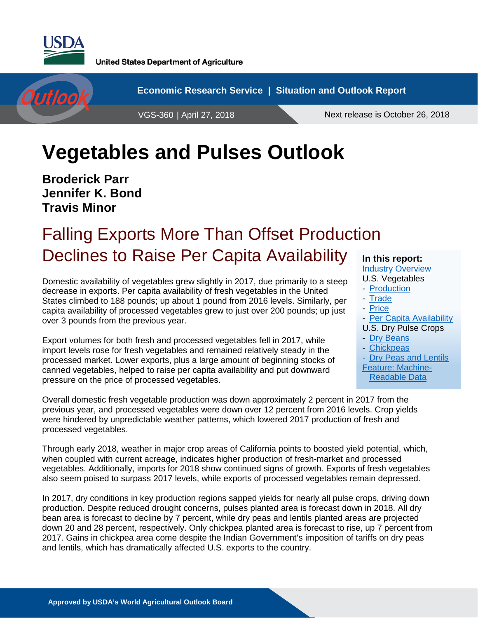

**United States Department of Agriculture** 



# **Vegetables and Pulses Outlook**

**Broderick Parr Jennifer K. Bond Travis Minor**

# Falling Exports More Than Offset Production Declines to Raise Per Capita Availability

Domestic availability of vegetables grew slightly in 2017, due primarily to a steep decrease in exports. Per capita availability of fresh vegetables in the United States climbed to 188 pounds; up about 1 pound from 2016 levels. Similarly, per capita availability of processed vegetables grew to just over 200 pounds; up just over 3 pounds from the previous year.

Export volumes for both fresh and processed vegetables fell in 2017, while import levels rose for fresh vegetables and remained relatively steady in the processed market. Lower exports, plus a large amount of beginning stocks of canned vegetables, helped to raise per capita availability and put downward pressure on the price of processed vegetables.

### **In this report:**

[Industry Overview](#page-1-0) U.S. Vegetables

- [Production](#page-2-0)
- [Trade](#page-7-0)
- [Price](#page-12-0)
- 

- [Per Capita Availability](#page-16-0) U.S. Dry Pulse Crops

- [Dry Beans](#page-21-0)
- [Chickpeas](#page-28-0)
- [Dry Peas and Lentils](#page-31-0)
- [Feature: Machine-](#page-36-0)

[Readable Data](#page-36-0)

Overall domestic fresh vegetable production was down approximately 2 percent in 2017 from the previous year, and processed vegetables were down over 12 percent from 2016 levels. Crop yields were hindered by unpredictable weather patterns, which lowered 2017 production of fresh and processed vegetables.

Through early 2018, weather in major crop areas of California points to boosted yield potential, which, when coupled with current acreage, indicates higher production of fresh-market and processed vegetables. Additionally, imports for 2018 show continued signs of growth. Exports of fresh vegetables also seem poised to surpass 2017 levels, while exports of processed vegetables remain depressed.

In 2017, dry conditions in key production regions sapped yields for nearly all pulse crops, driving down production. Despite reduced drought concerns, pulses planted area is forecast down in 2018. All dry bean area is forecast to decline by 7 percent, while dry peas and lentils planted areas are projected down 20 and 28 percent, respectively. Only chickpea planted area is forecast to rise, up 7 percent from 2017. Gains in chickpea area come despite the Indian Government's imposition of tariffs on dry peas and lentils, which has dramatically affected U.S. exports to the country.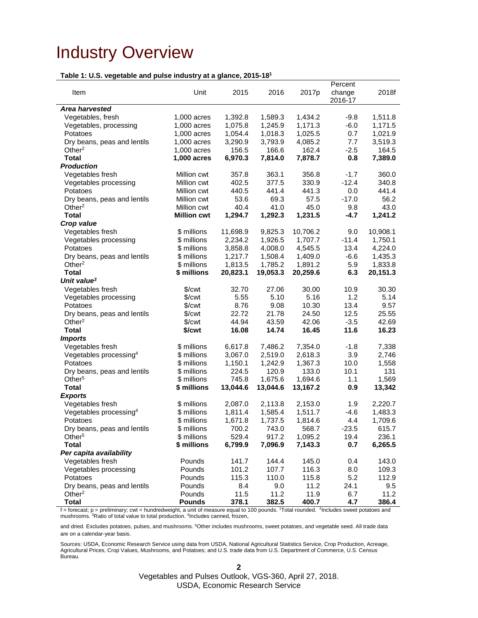## <span id="page-1-0"></span>Industry Overview

### **Table 1: U.S. vegetable and pulse industry at a glance, 2015-181**

| $\frac{1}{2}$                                                                                                                 |                      | u. u giurivo, |          |          | Percent |          |
|-------------------------------------------------------------------------------------------------------------------------------|----------------------|---------------|----------|----------|---------|----------|
| Item                                                                                                                          | Unit                 | 2015          | 2016     | 2017p    | change  | 2018f    |
|                                                                                                                               |                      |               |          |          | 2016-17 |          |
| Area harvested                                                                                                                |                      |               |          |          |         |          |
| Vegetables, fresh                                                                                                             | 1,000 acres          | 1,392.8       | 1,589.3  | 1,434.2  | $-9.8$  | 1,511.8  |
| Vegetables, processing                                                                                                        | 1,000 acres          | 1,075.8       | 1,245.9  | 1,171.3  | $-6.0$  | 1,171.5  |
| Potatoes                                                                                                                      | 1,000 acres          | 1,054.4       | 1,018.3  | 1,025.5  | 0.7     | 1,021.9  |
| Dry beans, peas and lentils                                                                                                   | 1,000 acres          | 3,290.9       | 3,793.9  | 4,085.2  | 7.7     | 3,519.3  |
| Other $2$                                                                                                                     | 1,000 acres          | 156.5         | 166.6    | 162.4    | $-2.5$  | 164.5    |
| <b>Total</b>                                                                                                                  | 1,000 acres          | 6,970.3       | 7,814.0  | 7,878.7  | 0.8     | 7,389.0  |
| <b>Production</b>                                                                                                             |                      |               |          |          |         |          |
| Vegetables fresh                                                                                                              | Million cwt          | 357.8         | 363.1    | 356.8    | $-1.7$  | 360.0    |
| Vegetables processing                                                                                                         | Million cwt          | 402.5         | 377.5    | 330.9    | $-12.4$ | 340.8    |
| Potatoes                                                                                                                      | Million cwt          | 440.5         | 441.4    | 441.3    | 0.0     | 441.4    |
| Dry beans, peas and lentils                                                                                                   | Million cwt          | 53.6          | 69.3     | 57.5     | $-17.0$ | 56.2     |
| Other <sup>2</sup>                                                                                                            | Million cwt          | 40.4          | 41.0     | 45.0     | 9.8     | 43.0     |
| <b>Total</b>                                                                                                                  | <b>Million cwt</b>   | 1,294.7       | 1,292.3  | 1,231.5  | $-4.7$  | 1,241.2  |
| Crop value                                                                                                                    |                      |               |          |          |         |          |
| Vegetables fresh                                                                                                              | \$ millions          | 11,698.9      | 9,825.3  | 10,706.2 | 9.0     | 10,908.1 |
| Vegetables processing                                                                                                         | \$ millions          | 2,234.2       | 1,926.5  | 1,707.7  | $-11.4$ | 1,750.1  |
| Potatoes                                                                                                                      | \$ millions          | 3,858.8       | 4,008.0  | 4,545.5  | 13.4    | 4,224.0  |
| Dry beans, peas and lentils                                                                                                   | \$ millions          | 1,217.7       | 1,508.4  | 1,409.0  | $-6.6$  | 1,435.3  |
| Other <sup>2</sup>                                                                                                            | \$ millions          | 1,813.5       | 1,785.2  | 1,891.2  | 5.9     | 1,833.8  |
| <b>Total</b>                                                                                                                  | \$ millions          | 20,823.1      | 19,053.3 | 20,259.6 | 6.3     | 20,151.3 |
| Unit value <sup>3</sup>                                                                                                       |                      |               |          |          |         |          |
| Vegetables fresh                                                                                                              | \$/ <sub>cut</sub>   | 32.70         | 27.06    | 30.00    | 10.9    | 30.30    |
| Vegetables processing                                                                                                         | $\sqrt{\frac{2}{1}}$ | 5.55          | 5.10     | 5.16     | 1.2     | 5.14     |
| Potatoes                                                                                                                      | $\sqrt{\frac{2}{1}}$ | 8.76          | 9.08     | 10.30    | 13.4    | 9.57     |
| Dry beans, peas and lentils                                                                                                   | $%$ / $\mathsf{cwt}$ | 22.72         | 21.78    | 24.50    | 12.5    | 25.55    |
| Other $2$                                                                                                                     | $%$ / $\mathsf{cwt}$ | 44.94         | 43.59    | 42.06    | $-3.5$  | 42.69    |
| <b>Total</b>                                                                                                                  | \$/cwt               | 16.08         | 14.74    | 16.45    | 11.6    | 16.23    |
| <b>Imports</b>                                                                                                                |                      |               |          |          |         |          |
| Vegetables fresh                                                                                                              | \$ millions          | 6,617.8       | 7,486.2  | 7,354.0  | $-1.8$  | 7,338    |
| Vegetables processing <sup>4</sup>                                                                                            | \$ millions          | 3,067.0       | 2,519.0  | 2,618.3  | 3.9     | 2,746    |
| Potatoes                                                                                                                      | \$ millions          | 1,150.1       | 1,242.9  | 1,367.3  | 10.0    | 1,558    |
| Dry beans, peas and lentils                                                                                                   | \$ millions          | 224.5         | 120.9    | 133.0    | 10.1    | 131      |
| Other <sup>5</sup>                                                                                                            | \$ millions          | 745.8         | 1,675.6  | 1,694.6  | 1.1     | 1,569    |
| <b>Total</b>                                                                                                                  | \$ millions          | 13,044.6      | 13,044.6 | 13,167.2 | 0.9     | 13,342   |
| <b>Exports</b>                                                                                                                |                      |               |          |          |         |          |
| Vegetables fresh                                                                                                              | \$ millions          | 2,087.0       | 2,113.8  | 2,153.0  | 1.9     | 2,220.7  |
| Vegetables processing <sup>4</sup>                                                                                            | \$ millions          | 1,811.4       | 1,585.4  | 1,511.7  | $-4.6$  | 1,483.3  |
| Potatoes                                                                                                                      | \$ millions          | 1,671.8       | 1,737.5  | 1,814.6  | 4.4     | 1,709.6  |
| Dry beans, peas and lentils                                                                                                   | \$ millions          | 700.2         | 743.0    | 568.7    | $-23.5$ | 615.7    |
| Other <sup>5</sup>                                                                                                            | \$ millions          | 529.4         | 917.2    | 1,095.2  | 19.4    | 236.1    |
| <b>Total</b>                                                                                                                  | \$ millions          | 6,799.9       | 7,096.9  | 7,143.3  | 0.7     | 6,265.5  |
| Per capita availability                                                                                                       |                      |               |          |          |         |          |
| Vegetables fresh                                                                                                              | Pounds               | 141.7         | 144.4    | 145.0    | 0.4     | 143.0    |
| Vegetables processing                                                                                                         | Pounds               | 101.2         | 107.7    | 116.3    | 8.0     | 109.3    |
| Potatoes                                                                                                                      | Pounds               | 115.3         | 110.0    | 115.8    | 5.2     | 112.9    |
| Dry beans, peas and lentils                                                                                                   | Pounds               | 8.4           | 9.0      | 11.2     | 24.1    | 9.5      |
| Other <sup>2</sup>                                                                                                            | Pounds               | 11.5          | 11.2     | 11.9     | 6.7     | 11.2     |
| <b>Total</b>                                                                                                                  | <b>Pounds</b>        | 378.1         | 382.5    | 400.7    | 4.7     | 386.4    |
| $t =$ forecast: $p =$ proliminary out – bundred woight a unit of measure equal to 100 pounds. Total reunded, 2 includes sweet |                      |               |          |          |         |          |

y; cwt = hundredweight, a unit of measure equal to 100 pounds. <sup>1</sup>Total rounded. <sup>2</sup>Includes sweet potatoes and mushrooms. <sup>3</sup>Ratio of total value to total production. <sup>4</sup>Includes canned, frozen,

and dried. Excludes potatoes, pulses, and mushrooms. 5Other includes mushrooms, sweet potatoes, and vegetable seed. All trade data are on a calendar-year basis.

Sources: USDA, Economic Research Service using data from USDA, National Agricultural Statistics Service, Crop Production, Acreage, Agricultural Prices, Crop Values, Mushrooms, and Potatoes; and U.S. trade data from U.S. Department of Commerce, U.S. Census Bureau.

**2**

Vegetables and Pulses Outlook, VGS-360, April 27, 2018. USDA, Economic Research Service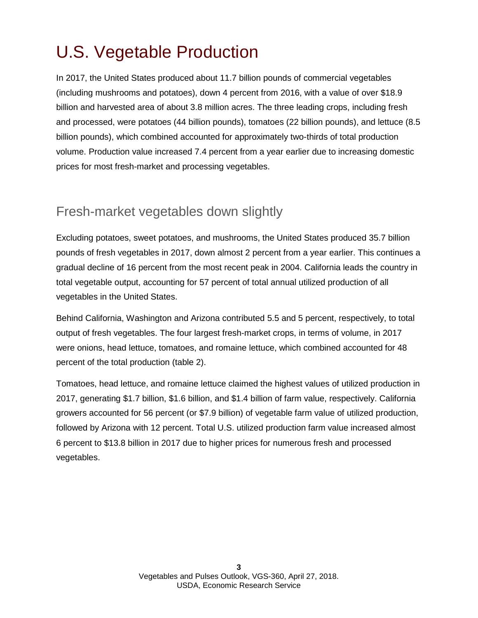# <span id="page-2-0"></span>U.S. Vegetable Production

In 2017, the United States produced about 11.7 billion pounds of commercial vegetables (including mushrooms and potatoes), down 4 percent from 2016, with a value of over \$18.9 billion and harvested area of about 3.8 million acres. The three leading crops, including fresh and processed, were potatoes (44 billion pounds), tomatoes (22 billion pounds), and lettuce (8.5 billion pounds), which combined accounted for approximately two-thirds of total production volume. Production value increased 7.4 percent from a year earlier due to increasing domestic prices for most fresh-market and processing vegetables.

### Fresh-market vegetables down slightly

Excluding potatoes, sweet potatoes, and mushrooms, the United States produced 35.7 billion pounds of fresh vegetables in 2017, down almost 2 percent from a year earlier. This continues a gradual decline of 16 percent from the most recent peak in 2004. California leads the country in total vegetable output, accounting for 57 percent of total annual utilized production of all vegetables in the United States.

Behind California, Washington and Arizona contributed 5.5 and 5 percent, respectively, to total output of fresh vegetables. The four largest fresh-market crops, in terms of volume, in 2017 were onions, head lettuce, tomatoes, and romaine lettuce, which combined accounted for 48 percent of the total production (table 2).

Tomatoes, head lettuce, and romaine lettuce claimed the highest values of utilized production in 2017, generating \$1.7 billion, \$1.6 billion, and \$1.4 billion of farm value, respectively. California growers accounted for 56 percent (or \$7.9 billion) of vegetable farm value of utilized production, followed by Arizona with 12 percent. Total U.S. utilized production farm value increased almost 6 percent to \$13.8 billion in 2017 due to higher prices for numerous fresh and processed vegetables.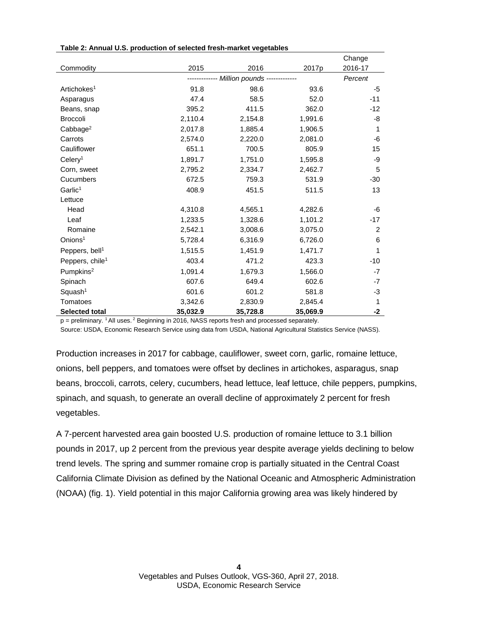| Table 2: Annual U.S. production of selected fresh-market vegetables |  |  |  |
|---------------------------------------------------------------------|--|--|--|
|---------------------------------------------------------------------|--|--|--|

|                             |          |                                          |          | Change         |
|-----------------------------|----------|------------------------------------------|----------|----------------|
| Commodity                   | 2015     | 2016                                     | 2017p    | 2016-17        |
|                             |          | ------------ Million pounds ------------ |          | Percent        |
| Artichokes <sup>1</sup>     | 91.8     | 98.6                                     | 93.6     | -5             |
| Asparagus                   | 47.4     | 58.5                                     | 52.0     | $-11$          |
| Beans, snap                 | 395.2    | 411.5                                    | 362.0    | $-12$          |
| <b>Broccoli</b>             | 2,110.4  | 2,154.8                                  | 1,991.6  | -8             |
| Cabbage <sup>2</sup>        | 2,017.8  | 1,885.4                                  | 1,906.5  | 1              |
| Carrots                     | 2,574.0  | 2,220.0                                  | 2,081.0  | -6             |
| Cauliflower                 | 651.1    | 700.5                                    | 805.9    | 15             |
| Celery <sup>1</sup>         | 1,891.7  | 1,751.0                                  | 1,595.8  | -9             |
| Corn, sweet                 | 2,795.2  | 2,334.7                                  | 2,462.7  | 5              |
| Cucumbers                   | 672.5    | 759.3                                    | 531.9    | $-30$          |
| Garlic <sup>1</sup>         | 408.9    | 451.5                                    | 511.5    | 13             |
| Lettuce                     |          |                                          |          |                |
| Head                        | 4,310.8  | 4,565.1                                  | 4,282.6  | -6             |
| Leaf                        | 1,233.5  | 1,328.6                                  | 1,101.2  | $-17$          |
| Romaine                     | 2,542.1  | 3,008.6                                  | 3,075.0  | $\overline{2}$ |
| Onions <sup>1</sup>         | 5,728.4  | 6,316.9                                  | 6,726.0  | 6              |
| Peppers, bell <sup>1</sup>  | 1,515.5  | 1,451.9                                  | 1,471.7  | 1              |
| Peppers, chile <sup>1</sup> | 403.4    | 471.2                                    | 423.3    | $-10$          |
| Pumpkins <sup>2</sup>       | 1,091.4  | 1,679.3                                  | 1,566.0  | $-7$           |
| Spinach                     | 607.6    | 649.4                                    | 602.6    | -7             |
| Squash <sup>1</sup>         | 601.6    | 601.2                                    | 581.8    | -3             |
| Tomatoes                    | 3,342.6  | 2,830.9                                  | 2,845.4  | 1              |
| <b>Selected total</b>       | 35,032.9 | 35,728.8                                 | 35,069.9 | -2             |

p = preliminary. 1 All uses. <sup>2</sup> Beginning in 2016, NASS reports fresh and processed separately.

Source: USDA, Economic Research Service using data from USDA, National Agricultural Statistics Service (NASS).

Production increases in 2017 for cabbage, cauliflower, sweet corn, garlic, romaine lettuce, onions, bell peppers, and tomatoes were offset by declines in artichokes, asparagus, snap beans, broccoli, carrots, celery, cucumbers, head lettuce, leaf lettuce, chile peppers, pumpkins, spinach, and squash, to generate an overall decline of approximately 2 percent for fresh vegetables.

A 7-percent harvested area gain boosted U.S. production of romaine lettuce to 3.1 billion pounds in 2017, up 2 percent from the previous year despite average yields declining to below trend levels. The spring and summer romaine crop is partially situated in the Central Coast California Climate Division as defined by the National Oceanic and Atmospheric Administration (NOAA) (fig. 1). Yield potential in this major California growing area was likely hindered by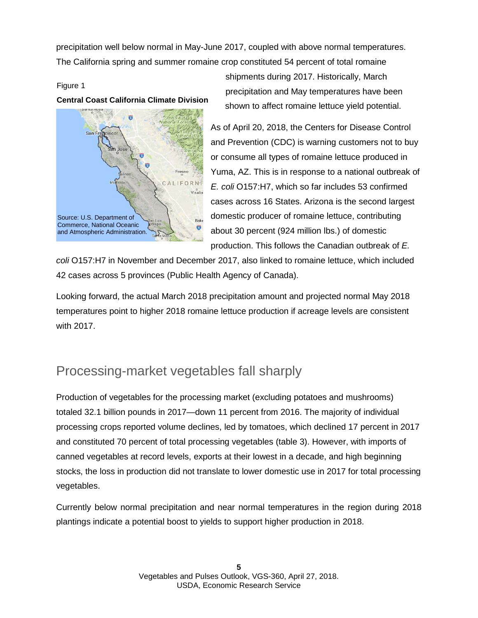precipitation well below normal in May-June 2017, coupled with above normal temperatures. The California spring and summer romaine crop constituted 54 percent of total romaine

### Figure 1

### **Central Coast California Climate Division**



shipments during 2017. Historically, March precipitation and May temperatures have been shown to affect romaine lettuce yield potential.

As of April 20, 2018, the Centers for Disease Control and Prevention (CDC) is warning customers not to buy or consume all types of romaine lettuce produced in Yuma, AZ. This is in response to a national outbreak of *E. coli* O157:H7, which so far includes 53 confirmed cases across 16 States. Arizona is the second largest domestic producer of romaine lettuce, contributing about 30 percent (924 million lbs.) of domestic production. This follows the Canadian outbreak of *E.* 

*coli* O157:H7 in November and December 2017, also linked to romaine lettuce, which included 42 cases across 5 provinces (Public Health Agency of Canada).

Looking forward, the actual March 2018 precipitation amount and projected normal May 2018 temperatures point to higher 2018 romaine lettuce production if acreage levels are consistent with 2017.

## Processing-market vegetables fall sharply

Production of vegetables for the processing market (excluding potatoes and mushrooms) totaled 32.1 billion pounds in 2017—down 11 percent from 2016. The majority of individual processing crops reported volume declines, led by tomatoes, which declined 17 percent in 2017 and constituted 70 percent of total processing vegetables (table 3). However, with imports of canned vegetables at record levels, exports at their lowest in a decade, and high beginning stocks, the loss in production did not translate to lower domestic use in 2017 for total processing vegetables.

Currently below normal precipitation and near normal temperatures in the region during 2018 plantings indicate a potential boost to yields to support higher production in 2018.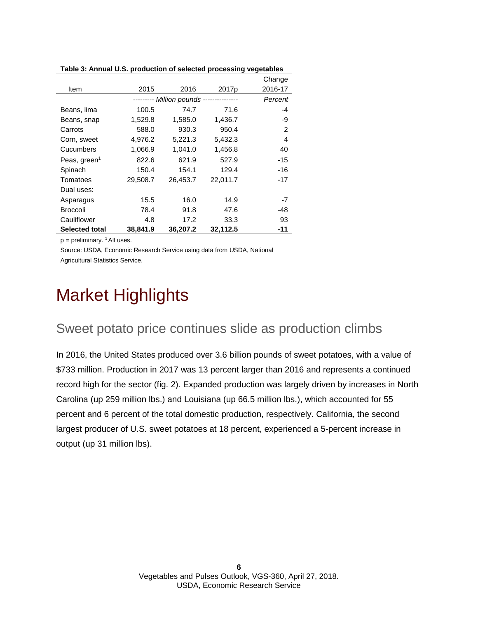| rable 5. Annual 0.5. production or selected processing vegetables |          |                             |                   |         |
|-------------------------------------------------------------------|----------|-----------------------------|-------------------|---------|
|                                                                   |          |                             |                   | Change  |
| Item                                                              | 2015     | 2016                        | 2017 <sub>p</sub> | 2016-17 |
|                                                                   |          | --------- Million pounds -- |                   | Percent |
| Beans, lima                                                       | 100.5    | 74.7                        | 71.6              | -4      |
| Beans, snap                                                       | 1,529.8  | 1,585.0                     | 1,436.7           | -9      |
| Carrots                                                           | 588.0    | 930.3                       | 950.4             | 2       |
| Corn, sweet                                                       | 4,976.2  | 5,221.3                     | 5,432.3           | 4       |
| Cucumbers                                                         | 1,066.9  | 1,041.0                     | 1,456.8           | 40      |
| Peas, green <sup>1</sup>                                          | 822.6    | 621.9                       | 527.9             | -15     |
| Spinach                                                           | 150.4    | 154.1                       | 129.4             | -16     |
| Tomatoes                                                          | 29,508.7 | 26,453.7                    | 22,011.7          | -17     |
| Dual uses:                                                        |          |                             |                   |         |
| Asparagus                                                         | 15.5     | 16.0                        | 14.9              | -7      |
| <b>Broccoli</b>                                                   | 78.4     | 91.8                        | 47.6              | -48     |
| Cauliflower                                                       | 4.8      | 17.2                        | 33.3              | 93      |
| <b>Selected total</b>                                             | 38,841.9 | 36,207.2                    | 32,112.5          | -11     |

**Table 3: Annual U.S. production of selected processing vegetables**

 $p =$  preliminary. <sup>1</sup> All uses.

Source: USDA, Economic Research Service using data from USDA, National Agricultural Statistics Service.

# Market Highlights

### Sweet potato price continues slide as production climbs

In 2016, the United States produced over 3.6 billion pounds of sweet potatoes, with a value of \$733 million. Production in 2017 was 13 percent larger than 2016 and represents a continued record high for the sector (fig. 2). Expanded production was largely driven by increases in North Carolina (up 259 million lbs.) and Louisiana (up 66.5 million lbs.), which accounted for 55 percent and 6 percent of the total domestic production, respectively. California, the second largest producer of U.S. sweet potatoes at 18 percent, experienced a 5-percent increase in output (up 31 million lbs).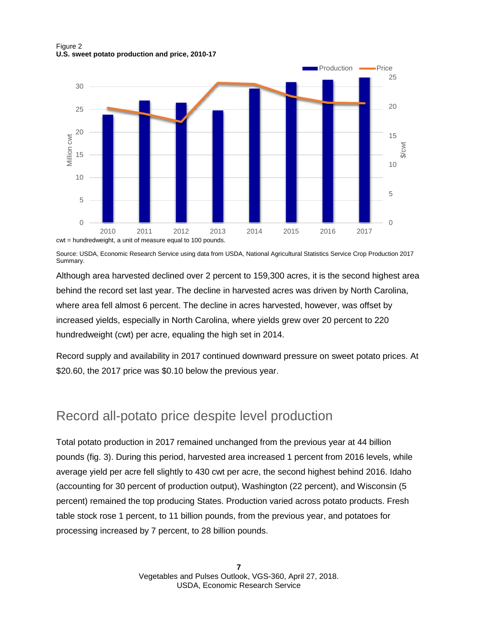Figure 2 **U.S. sweet potato production and price, 2010-17**



Source: USDA, Economic Research Service using data from USDA, National Agricultural Statistics Service Crop Production 2017 Summary.

Although area harvested declined over 2 percent to 159,300 acres, it is the second highest area behind the record set last year. The decline in harvested acres was driven by North Carolina, where area fell almost 6 percent. The decline in acres harvested, however, was offset by increased yields, especially in North Carolina, where yields grew over 20 percent to 220 hundredweight (cwt) per acre, equaling the high set in 2014.

Record supply and availability in 2017 continued downward pressure on sweet potato prices. At \$20.60, the 2017 price was \$0.10 below the previous year.

### Record all-potato price despite level production

Total potato production in 2017 remained unchanged from the previous year at 44 billion pounds (fig. 3). During this period, harvested area increased 1 percent from 2016 levels, while average yield per acre fell slightly to 430 cwt per acre, the second highest behind 2016. Idaho (accounting for 30 percent of production output), Washington (22 percent), and Wisconsin (5 percent) remained the top producing States. Production varied across potato products. Fresh table stock rose 1 percent, to 11 billion pounds, from the previous year, and potatoes for processing increased by 7 percent, to 28 billion pounds.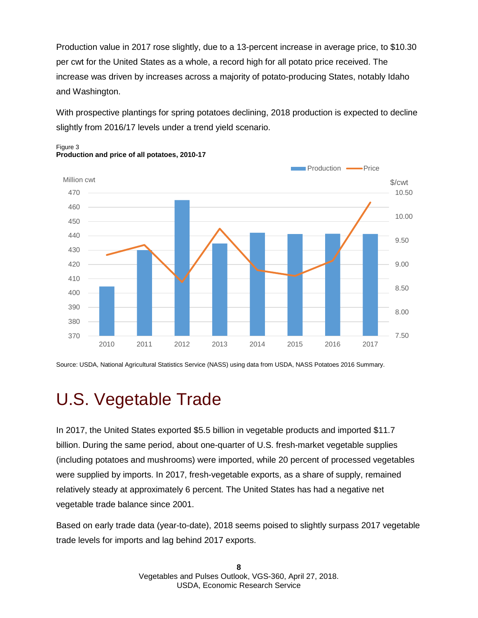Production value in 2017 rose slightly, due to a 13-percent increase in average price, to \$10.30 per cwt for the United States as a whole, a record high for all potato price received. The increase was driven by increases across a majority of potato-producing States, notably Idaho and Washington.

With prospective plantings for spring potatoes declining, 2018 production is expected to decline slightly from 2016/17 levels under a trend yield scenario.



Figure 3 **Production and price of all potatoes, 2010-17**

Source: USDA, National Agricultural Statistics Service (NASS) using data from USDA, NASS Potatoes 2016 Summary.

# <span id="page-7-0"></span>U.S. Vegetable Trade

In 2017, the United States exported \$5.5 billion in vegetable products and imported \$11.7 billion. During the same period, about one-quarter of U.S. fresh-market vegetable supplies (including potatoes and mushrooms) were imported, while 20 percent of processed vegetables were supplied by imports. In 2017, fresh-vegetable exports, as a share of supply, remained relatively steady at approximately 6 percent. The United States has had a negative net vegetable trade balance since 2001.

Based on early trade data (year-to-date), 2018 seems poised to slightly surpass 2017 vegetable trade levels for imports and lag behind 2017 exports.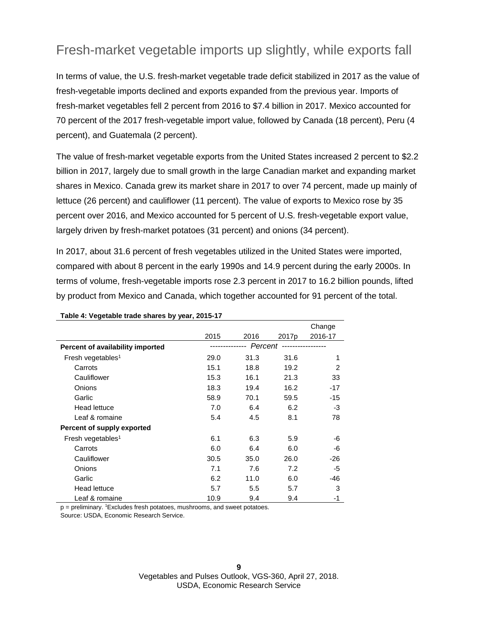## Fresh-market vegetable imports up slightly, while exports fall

In terms of value, the U.S. fresh-market vegetable trade deficit stabilized in 2017 as the value of fresh-vegetable imports declined and exports expanded from the previous year. Imports of fresh-market vegetables fell 2 percent from 2016 to \$7.4 billion in 2017. Mexico accounted for 70 percent of the 2017 fresh-vegetable import value, followed by Canada (18 percent), Peru (4 percent), and Guatemala (2 percent).

The value of fresh-market vegetable exports from the United States increased 2 percent to \$2.2 billion in 2017, largely due to small growth in the large Canadian market and expanding market shares in Mexico. Canada grew its market share in 2017 to over 74 percent, made up mainly of lettuce (26 percent) and cauliflower (11 percent). The value of exports to Mexico rose by 35 percent over 2016, and Mexico accounted for 5 percent of U.S. fresh-vegetable export value, largely driven by fresh-market potatoes (31 percent) and onions (34 percent).

In 2017, about 31.6 percent of fresh vegetables utilized in the United States were imported, compared with about 8 percent in the early 1990s and 14.9 percent during the early 2000s. In terms of volume, fresh-vegetable imports rose 2.3 percent in 2017 to 16.2 billion pounds, lifted by product from Mexico and Canada, which together accounted for 91 percent of the total.

|                                  |      |                   |                   | Change  |
|----------------------------------|------|-------------------|-------------------|---------|
|                                  | 2015 | 2016              | 2017 <sub>p</sub> | 2016-17 |
| Percent of availability imported |      | Percent<br>------ |                   |         |
| Fresh vegetables <sup>1</sup>    | 29.0 | 31.3              | 31.6              | 1       |
| Carrots                          | 15.1 | 18.8              | 19.2              | 2       |
| Cauliflower                      | 15.3 | 16.1              | 21.3              | 33      |
| Onions                           | 18.3 | 19.4              | 16.2              | -17     |
| Garlic                           | 58.9 | 70.1              | 59.5              | $-15$   |
| Head lettuce                     | 7.0  | 6.4               | 6.2               | -3      |
| Leaf & romaine                   | 5.4  | 4.5               | 8.1               | 78      |
| Percent of supply exported       |      |                   |                   |         |
| Fresh vegetables <sup>1</sup>    | 6.1  | 6.3               | 5.9               | -6      |
| Carrots                          | 6.0  | 6.4               | 6.0               | -6      |
| Cauliflower                      | 30.5 | 35.0              | 26.0              | -26     |
| Onions                           | 7.1  | 7.6               | 7.2               | -5      |
| Garlic                           | 6.2  | 11.0              | 6.0               | $-46$   |
| <b>Head lettuce</b>              | 5.7  | 5.5               | 5.7               | 3       |
| Leaf & romaine                   | 10.9 | 9.4               | 9.4               | -1      |

#### **Table 4: Vegetable trade shares by year, 2015-17**

p = preliminary. <sup>1</sup>Excludes fresh potatoes, mushrooms, and sweet potatoes.

Source: USDA, Economic Research Service.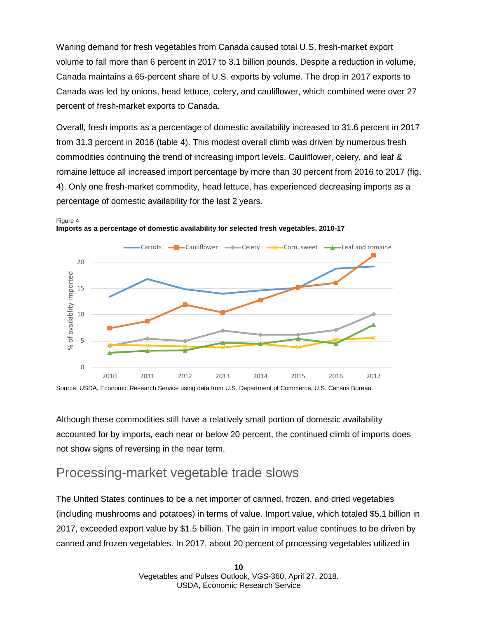Waning demand for fresh vegetables from Canada caused total U.S. fresh-market export volume to fall more than 6 percent in 2017 to 3.1 billion pounds. Despite a reduction in volume, Canada maintains a 65-percent share of U.S. exports by volume. The drop in 2017 exports to Canada was led by onions, head lettuce, celery, and cauliflower, which combined were over 27 percent of fresh-market exports to Canada.

Overall, fresh imports as a percentage of domestic availability increased to 31.6 percent in 2017 from 31.3 percent in 2016 (table 4). This modest overall climb was driven by numerous fresh commodities continuing the trend of increasing import levels. Cauliflower, celery, and leaf & romaine lettuce all increased import percentage by more than 30 percent from 2016 to 2017 (fig. 4). Only one fresh-market commodity, head lettuce, has experienced decreasing imports as a percentage of domestic availability for the last 2 years.



Figure 4 **Imports as a percentage of domestic availability for selected fresh vegetables, 2010-17**

Source: USDA, Economic Research Service using data from U.S. Department of Commerce, U.S. Census Bureau.

Although these commodities still have a relatively small portion of domestic availability accounted for by imports, each near or below 20 percent, the continued climb of imports does not show signs of reversing in the near term.

### Processing-market vegetable trade slows

The United States continues to be a net importer of canned, frozen, and dried vegetables (including mushrooms and potatoes) in terms of value. Import value, which totaled \$5.1 billion in 2017, exceeded export value by \$1.5 billion. The gain in import value continues to be driven by canned and frozen vegetables. In 2017, about 20 percent of processing vegetables utilized in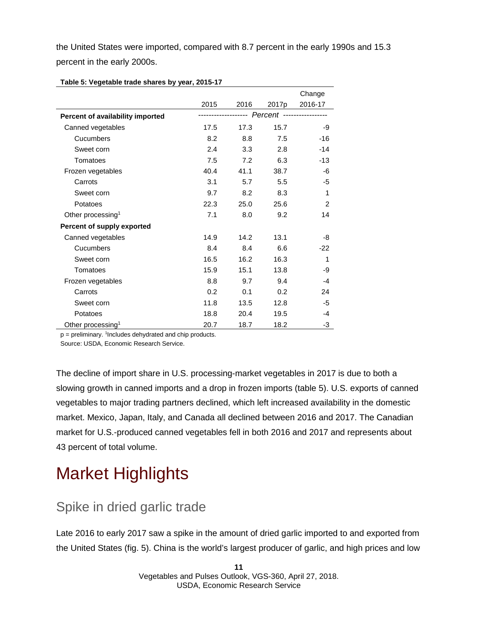the United States were imported, compared with 8.7 percent in the early 1990s and 15.3 percent in the early 2000s.

|                                  |      |           |                   | Change  |
|----------------------------------|------|-----------|-------------------|---------|
|                                  | 2015 | 2016      | 2017 <sub>p</sub> | 2016-17 |
| Percent of availability imported |      | --------- | Percent           |         |
| Canned vegetables                | 17.5 | 17.3      | 15.7              | -9      |
| Cucumbers                        | 8.2  | 8.8       | 7.5               | $-16$   |
| Sweet corn                       | 2.4  | 3.3       | 2.8               | $-14$   |
| Tomatoes                         | 7.5  | 7.2       | 6.3               | $-13$   |
| Frozen vegetables                | 40.4 | 41.1      | 38.7              | -6      |
| Carrots                          | 3.1  | 5.7       | 5.5               | -5      |
| Sweet corn                       | 9.7  | 8.2       | 8.3               | 1       |
| Potatoes                         | 22.3 | 25.0      | 25.6              | 2       |
| Other processing <sup>1</sup>    | 7.1  | 8.0       | 9.2               | 14      |
| Percent of supply exported       |      |           |                   |         |
| Canned vegetables                | 14.9 | 14.2      | 13.1              | -8      |
| Cucumbers                        | 8.4  | 8.4       | 6.6               | $-22$   |
| Sweet corn                       | 16.5 | 16.2      | 16.3              | 1       |
| Tomatoes                         | 15.9 | 15.1      | 13.8              | -9      |
| Frozen vegetables                | 8.8  | 9.7       | 9.4               | $-4$    |
| Carrots                          | 0.2  | 0.1       | 0.2               | 24      |
| Sweet corn                       | 11.8 | 13.5      | 12.8              | -5      |
| Potatoes                         | 18.8 | 20.4      | 19.5              | -4      |
| Other processing <sup>1</sup>    | 20.7 | 18.7      | 18.2              | -3      |

**Table 5: Vegetable trade shares by year, 2015-17**

p = preliminary. <sup>1</sup>Includes dehydrated and chip products.

Source: USDA, Economic Research Service.

The decline of import share in U.S. processing-market vegetables in 2017 is due to both a slowing growth in canned imports and a drop in frozen imports (table 5). U.S. exports of canned vegetables to major trading partners declined, which left increased availability in the domestic market. Mexico, Japan, Italy, and Canada all declined between 2016 and 2017. The Canadian market for U.S.-produced canned vegetables fell in both 2016 and 2017 and represents about 43 percent of total volume.

# Market Highlights

### Spike in dried garlic trade

Late 2016 to early 2017 saw a spike in the amount of dried garlic imported to and exported from the United States (fig. 5). China is the world's largest producer of garlic, and high prices and low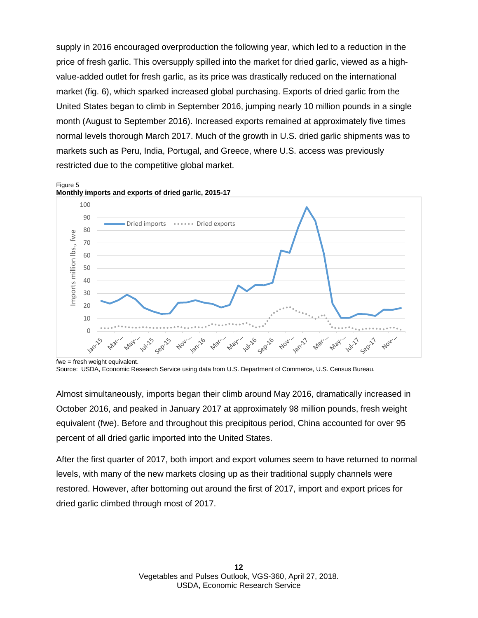supply in 2016 encouraged overproduction the following year, which led to a reduction in the price of fresh garlic. This oversupply spilled into the market for dried garlic, viewed as a highvalue-added outlet for fresh garlic, as its price was drastically reduced on the international market (fig. 6), which sparked increased global purchasing. Exports of dried garlic from the United States began to climb in September 2016, jumping nearly 10 million pounds in a single month (August to September 2016). Increased exports remained at approximately five times normal levels thorough March 2017. Much of the growth in U.S. dried garlic shipments was to markets such as Peru, India, Portugal, and Greece, where U.S. access was previously restricted due to the competitive global market.



Figure 5 **Monthly imports and exports of dried garlic, 2015-17**

Almost simultaneously, imports began their climb around May 2016, dramatically increased in October 2016, and peaked in January 2017 at approximately 98 million pounds, fresh weight equivalent (fwe). Before and throughout this precipitous period, China accounted for over 95 percent of all dried garlic imported into the United States.

After the first quarter of 2017, both import and export volumes seem to have returned to normal levels, with many of the new markets closing up as their traditional supply channels were restored. However, after bottoming out around the first of 2017, import and export prices for dried garlic climbed through most of 2017.

fwe = fresh weight equivalent.

Source: USDA, Economic Research Service using data from U.S. Department of Commerce, U.S. Census Bureau.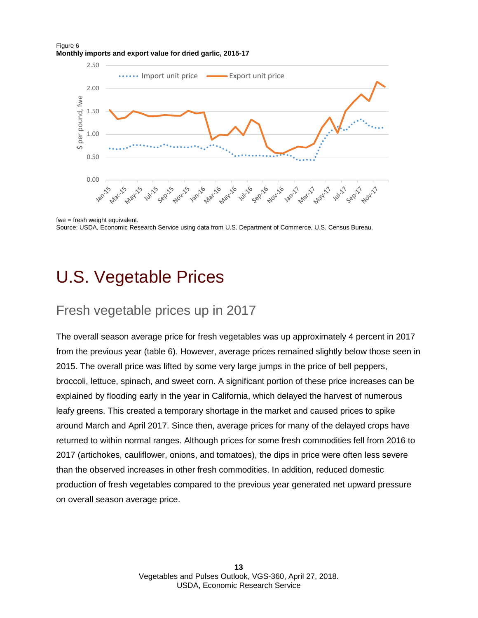### Figure 6 **Monthly imports and export value for dried garlic, 2015-17**



<span id="page-12-0"></span>fwe = fresh weight equivalent. Source: USDA, Economic Research Service using data from U.S. Department of Commerce, U.S. Census Bureau.

## U.S. Vegetable Prices

## Fresh vegetable prices up in 2017

The overall season average price for fresh vegetables was up approximately 4 percent in 2017 from the previous year (table 6). However, average prices remained slightly below those seen in 2015. The overall price was lifted by some very large jumps in the price of bell peppers, broccoli, lettuce, spinach, and sweet corn. A significant portion of these price increases can be explained by flooding early in the year in California, which delayed the harvest of numerous leafy greens. This created a temporary shortage in the market and caused prices to spike around March and April 2017. Since then, average prices for many of the delayed crops have returned to within normal ranges. Although prices for some fresh commodities fell from 2016 to 2017 (artichokes, cauliflower, onions, and tomatoes), the dips in price were often less severe than the observed increases in other fresh commodities. In addition, reduced domestic production of fresh vegetables compared to the previous year generated net upward pressure on overall season average price.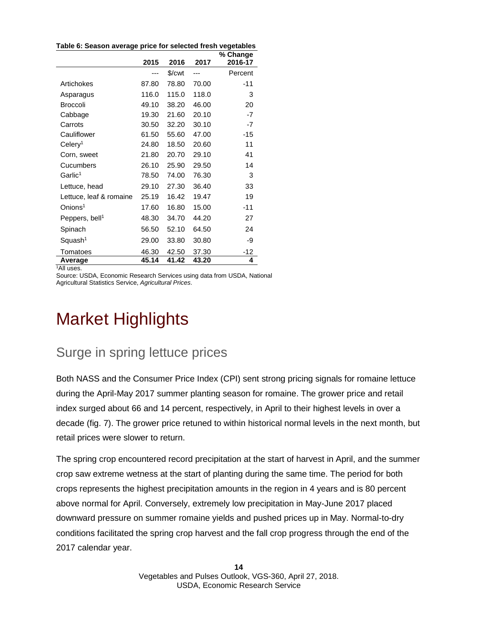| Table 6: Season average price for selected fresh vegetables |       |        |       |                     |
|-------------------------------------------------------------|-------|--------|-------|---------------------|
|                                                             | 2015  | 2016   | 2017  | % Change<br>2016-17 |
|                                                             |       | \$/cwt | ---   | Percent             |
| Artichokes                                                  | 87.80 | 78.80  | 70.00 | $-11$               |
| Asparagus                                                   | 116.0 | 115.0  | 118.0 | 3                   |
| <b>Broccoli</b>                                             | 49.10 | 38.20  | 46.00 | 20                  |
| Cabbage                                                     | 19.30 | 21.60  | 20.10 | -7                  |
| Carrots                                                     | 30.50 | 32.20  | 30.10 | $-7$                |
| Cauliflower                                                 | 61.50 | 55.60  | 47.00 | -15                 |
| Celery <sup>1</sup>                                         | 24.80 | 18.50  | 20.60 | 11                  |
| Corn, sweet                                                 | 21.80 | 20.70  | 29.10 | 41                  |
| Cucumbers                                                   | 26.10 | 25.90  | 29.50 | 14                  |
| Garlic <sup>1</sup>                                         | 78.50 | 74.00  | 76.30 | 3                   |
| Lettuce, head                                               | 29.10 | 27.30  | 36.40 | 33                  |
| Lettuce, leaf & romaine                                     | 25.19 | 16.42  | 19.47 | 19                  |
| Onions <sup>1</sup>                                         | 17.60 | 16.80  | 15.00 | -11                 |
| Peppers, bell <sup>1</sup>                                  | 48.30 | 34.70  | 44.20 | 27                  |
| Spinach                                                     | 56.50 | 52.10  | 64.50 | 24                  |
| Squash <sup>1</sup>                                         | 29.00 | 33.80  | 30.80 | -9                  |
| Tomatoes                                                    | 46.30 | 42.50  | 37.30 | $-12$               |
| Average<br>$1 \wedge$                                       | 45.14 | 41.42  | 43.20 | 4                   |

**Table 6: Season average price for selected fresh vegetables**

1 All uses.

Source: USDA, Economic Research Services using data from USDA, National Agricultural Statistics Service, *Agricultural Prices*.

# Market Highlights

### Surge in spring lettuce prices

Both NASS and the Consumer Price Index (CPI) sent strong pricing signals for romaine lettuce during the April-May 2017 summer planting season for romaine. The grower price and retail index surged about 66 and 14 percent, respectively, in April to their highest levels in over a decade (fig. 7). The grower price retuned to within historical normal levels in the next month, but retail prices were slower to return.

The spring crop encountered record precipitation at the start of harvest in April, and the summer crop saw extreme wetness at the start of planting during the same time. The period for both crops represents the highest precipitation amounts in the region in 4 years and is 80 percent above normal for April. Conversely, extremely low precipitation in May-June 2017 placed downward pressure on summer romaine yields and pushed prices up in May. Normal-to-dry conditions facilitated the spring crop harvest and the fall crop progress through the end of the 2017 calendar year.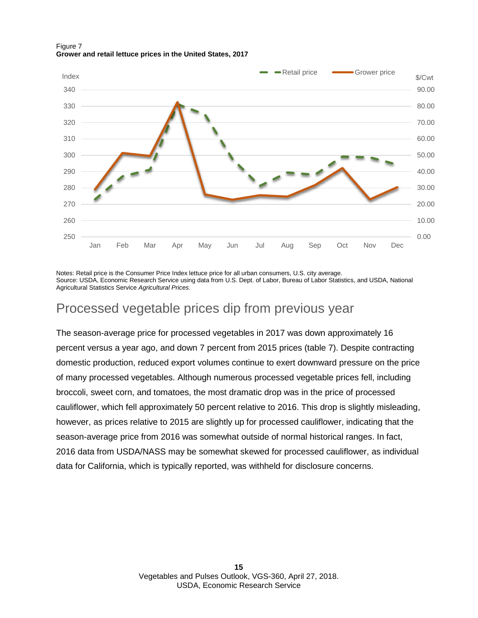

### Figure 7 **Grower and retail lettuce prices in the United States, 2017**

Notes: Retail price is the Consumer Price Index lettuce price for all urban consumers, U.S. city average. Source: USDA, Economic Research Service using data from U.S. Dept. of Labor, Bureau of Labor Statistics, and USDA, National Agricultural Statistics Service *Agricultural Prices*.

## Processed vegetable prices dip from previous year

The season-average price for processed vegetables in 2017 was down approximately 16 percent versus a year ago, and down 7 percent from 2015 prices (table 7). Despite contracting domestic production, reduced export volumes continue to exert downward pressure on the price of many processed vegetables. Although numerous processed vegetable prices fell, including broccoli, sweet corn, and tomatoes, the most dramatic drop was in the price of processed cauliflower, which fell approximately 50 percent relative to 2016. This drop is slightly misleading, however, as prices relative to 2015 are slightly up for processed cauliflower, indicating that the season-average price from 2016 was somewhat outside of normal historical ranges. In fact, 2016 data from USDA/NASS may be somewhat skewed for processed cauliflower, as individual data for California, which is typically reported, was withheld for disclosure concerns.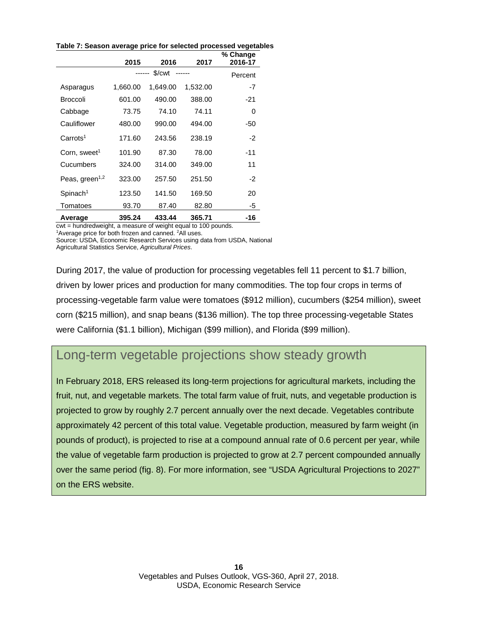|                            | 2015     | 2016               | 2017     | % Change<br>2016-17 |
|----------------------------|----------|--------------------|----------|---------------------|
|                            |          | \$/ <sub>cut</sub> |          | Percent             |
| Asparagus                  | 1,660.00 | 1,649.00           | 1,532.00 | -7                  |
| <b>Broccoli</b>            | 601.00   | 490.00             | 388.00   | -21                 |
| Cabbage                    | 73.75    | 74.10              | 74.11    | 0                   |
| Cauliflower                | 480.00   | 990.00             | 494.00   | -50                 |
| Carrots <sup>1</sup>       | 171.60   | 243.56             | 238.19   | $-2$                |
| Corn, sweet <sup>1</sup>   | 101.90   | 87.30              | 78.00    | -11                 |
| Cucumbers                  | 324.00   | 314.00             | 349.00   | 11                  |
| Peas, green <sup>1,2</sup> | 323.00   | 257.50             | 251.50   | -2                  |
| Spinach <sup>1</sup>       | 123.50   | 141.50             | 169.50   | 20                  |
| Tomatoes                   | 93.70    | 87.40              | 82.80    | -5                  |
| Average                    | 395.24   | 433.44             | 365.71   | -16                 |

**Table 7: Season average price for selected processed vegetables**

cwt = hundredweight, a measure of weight equal to 100 pounds.

<sup>1</sup>Average price for both frozen and canned. <sup>2</sup>All uses. Source: USDA, Economic Research Services using data from USDA, National

Agricultural Statistics Service, *Agricultural Prices*.

During 2017, the value of production for processing vegetables fell 11 percent to \$1.7 billion, driven by lower prices and production for many commodities. The top four crops in terms of processing-vegetable farm value were tomatoes (\$912 million), cucumbers (\$254 million), sweet corn (\$215 million), and snap beans (\$136 million). The top three processing-vegetable States were California (\$1.1 billion), Michigan (\$99 million), and Florida (\$99 million).

### Long-term vegetable projections show steady growth

In February 2018, ERS released its long-term projections for agricultural markets, including the fruit, nut, and vegetable markets. The total farm value of fruit, nuts, and vegetable production is projected to grow by roughly 2.7 percent annually over the next decade. Vegetables contribute approximately 42 percent of this total value. Vegetable production, measured by farm weight (in pounds of product), is projected to rise at a compound annual rate of 0.6 percent per year, while the value of vegetable farm production is projected to grow at 2.7 percent compounded annually over the same period (fig. 8). For more information, see "USDA Agricultural Projections to 2027" on the ERS website.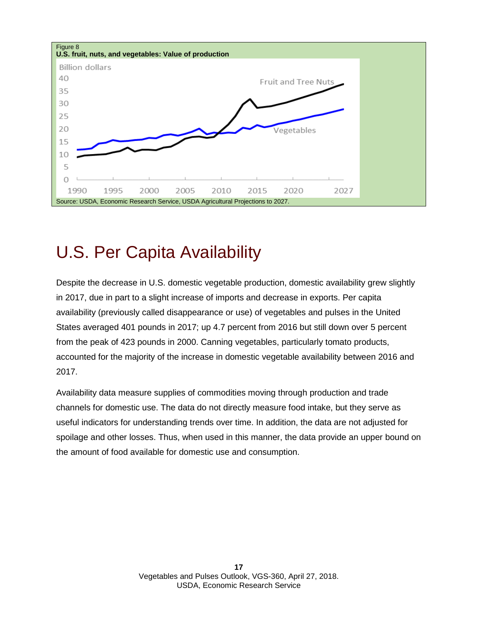

## <span id="page-16-0"></span>U.S. Per Capita Availability

Despite the decrease in U.S. domestic vegetable production, domestic availability grew slightly in 2017, due in part to a slight increase of imports and decrease in exports. Per capita availability (previously called disappearance or use) of vegetables and pulses in the United States averaged 401 pounds in 2017; up 4.7 percent from 2016 but still down over 5 percent from the peak of 423 pounds in 2000. Canning vegetables, particularly tomato products, accounted for the majority of the increase in domestic vegetable availability between 2016 and 2017.

Availability data measure supplies of commodities moving through production and trade channels for domestic use. The data do not directly measure food intake, but they serve as useful indicators for understanding trends over time. In addition, the data are not adjusted for spoilage and other losses. Thus, when used in this manner, the data provide an upper bound on the amount of food available for domestic use and consumption.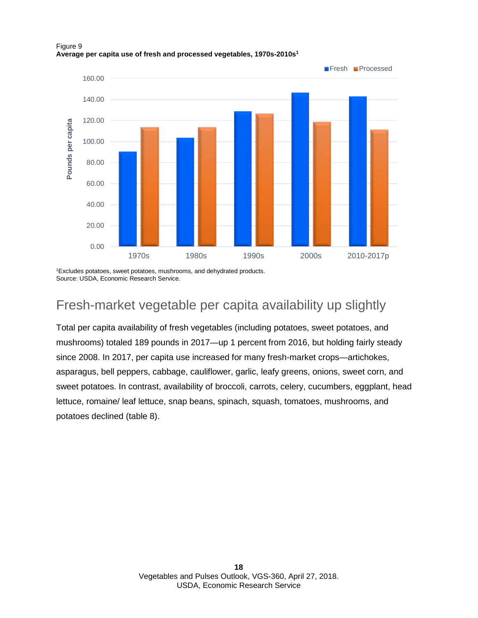## **F**resh Processed 160.00 140.00 120.00 Pounds per capita **Pounds per capita** 100.00 80.00 60.00 40.00 20.00 0.00 1970s 1980s 1990s 2000s 2010-2017p

### Figure 9 **Average per capita use of fresh and processed vegetables, 1970s-2010s1**

1 Excludes potatoes, sweet potatoes, mushrooms, and dehydrated products. Source: USDA, Economic Research Service.

## Fresh-market vegetable per capita availability up slightly

Total per capita availability of fresh vegetables (including potatoes, sweet potatoes, and mushrooms) totaled 189 pounds in 2017—up 1 percent from 2016, but holding fairly steady since 2008. In 2017, per capita use increased for many fresh-market crops—artichokes, asparagus, bell peppers, cabbage, cauliflower, garlic, leafy greens, onions, sweet corn, and sweet potatoes. In contrast, availability of broccoli, carrots, celery, cucumbers, eggplant, head lettuce, romaine/ leaf lettuce, snap beans, spinach, squash, tomatoes, mushrooms, and potatoes declined (table 8).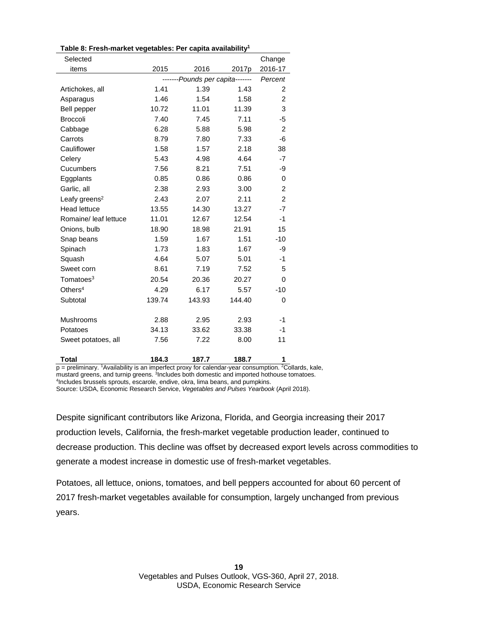| Selected                  |                                 |         |        | Change         |
|---------------------------|---------------------------------|---------|--------|----------------|
| items                     | 2015                            | 2016    | 2017p  | 2016-17        |
|                           | -------Pounds per capita------- | Percent |        |                |
| Artichokes, all           | 1.41                            | 1.39    | 1.43   | 2              |
| Asparagus                 | 1.46                            | 1.54    | 1.58   | 2              |
| Bell pepper               | 10.72                           | 11.01   | 11.39  | 3              |
| <b>Broccoli</b>           | 7.40                            | 7.45    | 7.11   | -5             |
| Cabbage                   | 6.28                            | 5.88    | 5.98   | $\overline{2}$ |
| Carrots                   | 8.79                            | 7.80    | 7.33   | -6             |
| Cauliflower               | 1.58                            | 1.57    | 2.18   | 38             |
| Celery                    | 5.43                            | 4.98    | 4.64   | -7             |
| Cucumbers                 | 7.56                            | 8.21    | 7.51   | -9             |
| Eggplants                 | 0.85                            | 0.86    | 0.86   | 0              |
| Garlic, all               | 2.38                            | 2.93    | 3.00   | $\overline{c}$ |
| Leafy greens <sup>2</sup> | 2.43                            | 2.07    | 2.11   | $\overline{2}$ |
| <b>Head lettuce</b>       | 13.55                           | 14.30   | 13.27  | $-7$           |
| Romaine/ leaf lettuce     | 11.01                           | 12.67   | 12.54  | -1             |
| Onions, bulb              | 18.90                           | 18.98   | 21.91  | 15             |
| Snap beans                | 1.59                            | 1.67    | 1.51   | $-10$          |
| Spinach                   | 1.73                            | 1.83    | 1.67   | -9             |
| Squash                    | 4.64                            | 5.07    | 5.01   | -1             |
| Sweet corn                | 8.61                            | 7.19    | 7.52   | 5              |
| Tomatoes <sup>3</sup>     | 20.54                           | 20.36   | 20.27  | 0              |
| Others $4$                | 4.29                            | 6.17    | 5.57   | $-10$          |
| Subtotal                  | 139.74                          | 143.93  | 144.40 | $\Omega$       |
|                           |                                 |         |        |                |
| Mushrooms                 | 2.88                            | 2.95    | 2.93   | -1             |
| Potatoes                  | 34.13                           | 33.62   | 33.38  | -1             |
| Sweet potatoes, all       | 7.56                            | 7.22    | 8.00   | 11             |
|                           |                                 |         |        |                |

**Table 8: Fresh-market vegetables: Per capita availability1**

**Total 184.3 187.7 188.7 1**  p = preliminary. 1 Availability is an imperfect proxy for calendar-year consumption. 2 Collards, kale, mustard greens, and turnip greens. <sup>3</sup>Includes both domestic and imported hothouse tomatoes. 4 Includes brussels sprouts, escarole, endive, okra, lima beans, and pumpkins.

Source: USDA, Economic Research Service, *Vegetables and Pulses Yearbook* (April 2018).

Despite significant contributors like Arizona, Florida, and Georgia increasing their 2017 production levels, California, the fresh-market vegetable production leader, continued to decrease production. This decline was offset by decreased export levels across commodities to generate a modest increase in domestic use of fresh-market vegetables.

Potatoes, all lettuce, onions, tomatoes, and bell peppers accounted for about 60 percent of 2017 fresh-market vegetables available for consumption, largely unchanged from previous years.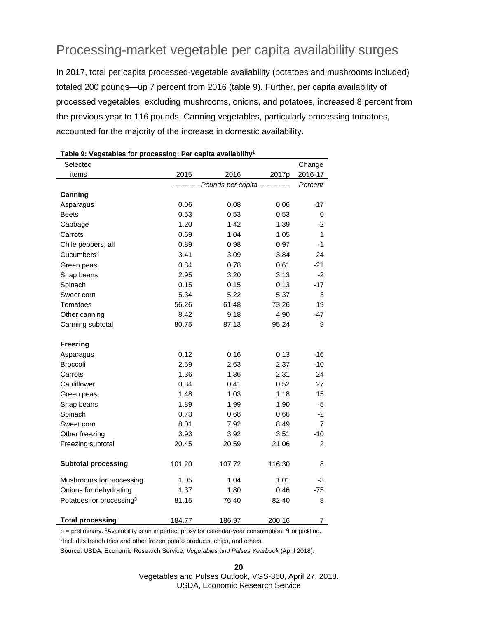### Processing-market vegetable per capita availability surges

In 2017, total per capita processed-vegetable availability (potatoes and mushrooms included) totaled 200 pounds—up 7 percent from 2016 (table 9). Further, per capita availability of processed vegetables, excluding mushrooms, onions, and potatoes, increased 8 percent from the previous year to 116 pounds. Canning vegetables, particularly processing tomatoes, accounted for the majority of the increase in domestic availability.

| rable 5. vegetables for processing. Fer capita availability<br>Selected |        |                                            |        | Change         |
|-------------------------------------------------------------------------|--------|--------------------------------------------|--------|----------------|
| items                                                                   | 2015   | 2016                                       | 2017p  | 2016-17        |
|                                                                         |        | ---------- Pounds per capita ------------- |        | Percent        |
| Canning                                                                 |        |                                            |        |                |
| Asparagus                                                               | 0.06   | 0.08                                       | 0.06   | $-17$          |
| <b>Beets</b>                                                            | 0.53   | 0.53                                       | 0.53   | 0              |
| Cabbage                                                                 | 1.20   | 1.42                                       | 1.39   | -2             |
| Carrots                                                                 | 0.69   | 1.04                                       | 1.05   | 1              |
| Chile peppers, all                                                      | 0.89   | 0.98                                       | 0.97   | -1             |
| Cucumbers <sup>2</sup>                                                  | 3.41   | 3.09                                       | 3.84   | 24             |
| Green peas                                                              | 0.84   | 0.78                                       | 0.61   | $-21$          |
| Snap beans                                                              | 2.95   | 3.20                                       | 3.13   | $-2$           |
| Spinach                                                                 | 0.15   | 0.15                                       | 0.13   | $-17$          |
| Sweet corn                                                              | 5.34   | 5.22                                       | 5.37   | 3              |
| Tomatoes                                                                | 56.26  | 61.48                                      | 73.26  | 19             |
| Other canning                                                           | 8.42   | 9.18                                       | 4.90   | $-47$          |
| Canning subtotal                                                        | 80.75  | 87.13                                      | 95.24  | 9              |
|                                                                         |        |                                            |        |                |
| Freezing                                                                |        |                                            |        |                |
| Asparagus                                                               | 0.12   | 0.16                                       | 0.13   | $-16$          |
| Broccoli                                                                | 2.59   | 2.63                                       | 2.37   | $-10$          |
| Carrots                                                                 | 1.36   | 1.86                                       | 2.31   | 24             |
| Cauliflower                                                             | 0.34   | 0.41                                       | 0.52   | 27             |
| Green peas                                                              | 1.48   | 1.03                                       | 1.18   | 15             |
| Snap beans                                                              | 1.89   | 1.99                                       | 1.90   | -5             |
| Spinach                                                                 | 0.73   | 0.68                                       | 0.66   | -2             |
| Sweet corn                                                              | 8.01   | 7.92                                       | 8.49   | $\overline{7}$ |
| Other freezing                                                          | 3.93   | 3.92                                       | 3.51   | $-10$          |
| Freezing subtotal                                                       | 20.45  | 20.59                                      | 21.06  | $\overline{2}$ |
|                                                                         |        |                                            |        |                |
| <b>Subtotal processing</b>                                              | 101.20 | 107.72                                     | 116.30 | 8              |
| Mushrooms for processing                                                | 1.05   | 1.04                                       | 1.01   | -3             |
| Onions for dehydrating                                                  | 1.37   | 1.80                                       | 0.46   | $-75$          |
| Potatoes for processing <sup>3</sup>                                    | 81.15  | 76.40                                      | 82.40  | 8              |
|                                                                         |        |                                            |        |                |
| <b>Total processing</b>                                                 | 184.77 | 186.97                                     | 200.16 | 7              |

p = preliminary. <sup>1</sup>Availability is an imperfect proxy for calendar-year consumption. <sup>2</sup>For pickling. <sup>3</sup>Includes french fries and other frozen potato products, chips, and others.

Source: USDA, Economic Research Service, *Vegetables and Pulses Yearbook* (April 2018).

Vegetables and Pulses Outlook, VGS-360, April 27, 2018. USDA, Economic Research Service

**20**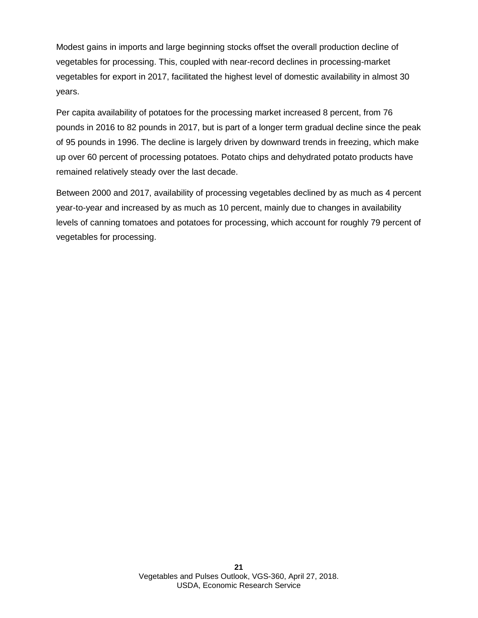Modest gains in imports and large beginning stocks offset the overall production decline of vegetables for processing. This, coupled with near-record declines in processing-market vegetables for export in 2017, facilitated the highest level of domestic availability in almost 30 years.

Per capita availability of potatoes for the processing market increased 8 percent, from 76 pounds in 2016 to 82 pounds in 2017, but is part of a longer term gradual decline since the peak of 95 pounds in 1996. The decline is largely driven by downward trends in freezing, which make up over 60 percent of processing potatoes. Potato chips and dehydrated potato products have remained relatively steady over the last decade.

Between 2000 and 2017, availability of processing vegetables declined by as much as 4 percent year-to-year and increased by as much as 10 percent, mainly due to changes in availability levels of canning tomatoes and potatoes for processing, which account for roughly 79 percent of vegetables for processing.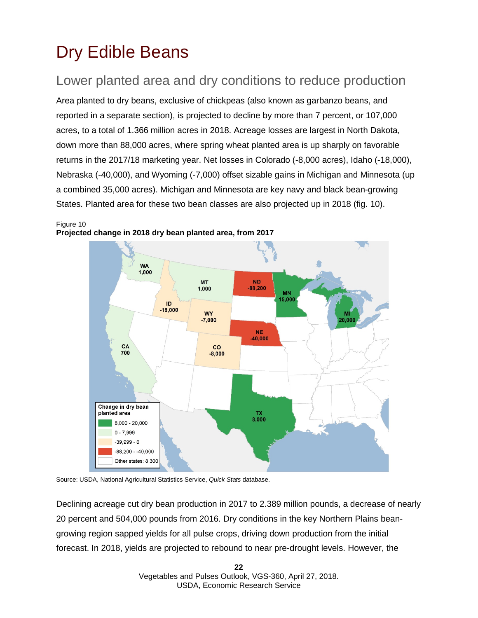# <span id="page-21-0"></span>Dry Edible Beans

## Lower planted area and dry conditions to reduce production

Area planted to dry beans, exclusive of chickpeas (also known as garbanzo beans, and reported in a separate section), is projected to decline by more than 7 percent, or 107,000 acres, to a total of 1.366 million acres in 2018. Acreage losses are largest in North Dakota, down more than 88,000 acres, where spring wheat planted area is up sharply on favorable returns in the 2017/18 marketing year. Net losses in Colorado (-8,000 acres), Idaho (-18,000), Nebraska (-40,000), and Wyoming (-7,000) offset sizable gains in Michigan and Minnesota (up a combined 35,000 acres). Michigan and Minnesota are key navy and black bean-growing States. Planted area for these two bean classes are also projected up in 2018 (fig. 10).

**WA** 1,000 **MT ND**  $-88,200$ 1,000 **MN** 15,000 ID  $-18,000$ **WY**  $-7,000$ 20.00 **NE** 40,000 CA  $c<sub>0</sub>$ 700  $-8.000$ Change in dry bean planted area  $TX$ <br> $8.000$  $8,000 - 20,000$  $0 - 7,999$  $-39.999 - 0$  $-88,200 - -40,000$ Other states: 8,300



Source: USDA, National Agricultural Statistics Service, *Quick Stats* database.

Declining acreage cut dry bean production in 2017 to 2.389 million pounds, a decrease of nearly 20 percent and 504,000 pounds from 2016. Dry conditions in the key Northern Plains beangrowing region sapped yields for all pulse crops, driving down production from the initial forecast. In 2018, yields are projected to rebound to near pre-drought levels. However, the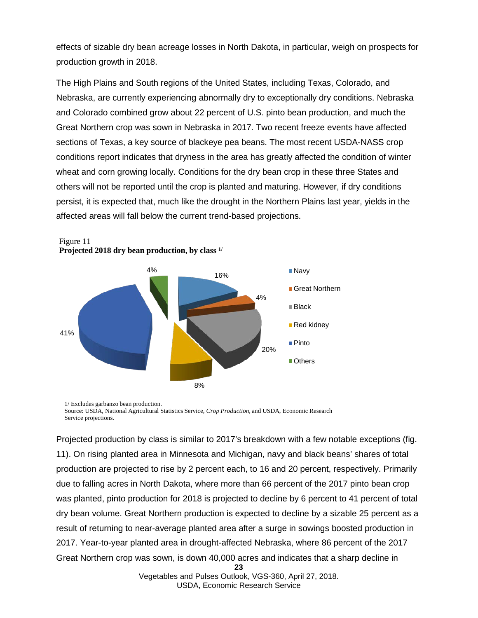effects of sizable dry bean acreage losses in North Dakota, in particular, weigh on prospects for production growth in 2018.

The High Plains and South regions of the United States, including Texas, Colorado, and Nebraska, are currently experiencing abnormally dry to exceptionally dry conditions. Nebraska and Colorado combined grow about 22 percent of U.S. pinto bean production, and much the Great Northern crop was sown in Nebraska in 2017. Two recent freeze events have affected sections of Texas, a key source of blackeye pea beans. The most recent USDA-NASS crop conditions report indicates that dryness in the area has greatly affected the condition of winter wheat and corn growing locally. Conditions for the dry bean crop in these three States and others will not be reported until the crop is planted and maturing. However, if dry conditions persist, it is expected that, much like the drought in the Northern Plains last year, yields in the affected areas will fall below the current trend-based projections.



Figure 11 **Projected 2018 dry bean production, by class 1/**

1/ Excludes garbanzo bean production. Source: USDA, National Agricultural Statistics Service, *Crop Production,* and USDA, Economic Research Service projections.

**23** Projected production by class is similar to 2017's breakdown with a few notable exceptions (fig. 11). On rising planted area in Minnesota and Michigan, navy and black beans' shares of total production are projected to rise by 2 percent each, to 16 and 20 percent, respectively. Primarily due to falling acres in North Dakota, where more than 66 percent of the 2017 pinto bean crop was planted, pinto production for 2018 is projected to decline by 6 percent to 41 percent of total dry bean volume. Great Northern production is expected to decline by a sizable 25 percent as a result of returning to near-average planted area after a surge in sowings boosted production in 2017. Year-to-year planted area in drought-affected Nebraska, where 86 percent of the 2017 Great Northern crop was sown, is down 40,000 acres and indicates that a sharp decline in

> Vegetables and Pulses Outlook, VGS-360, April 27, 2018. USDA, Economic Research Service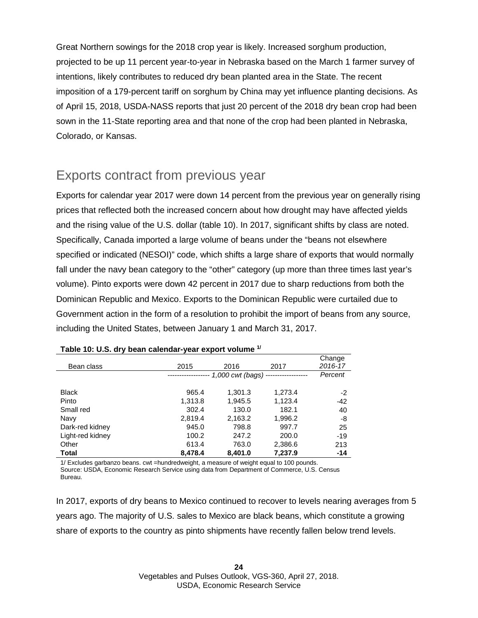Great Northern sowings for the 2018 crop year is likely. Increased sorghum production, projected to be up 11 percent year-to-year in Nebraska based on the March 1 farmer survey of intentions, likely contributes to reduced dry bean planted area in the State. The recent imposition of a 179-percent tariff on sorghum by China may yet influence planting decisions. As of April 15, 2018, USDA-NASS reports that just 20 percent of the 2018 dry bean crop had been sown in the 11-State reporting area and that none of the crop had been planted in Nebraska, Colorado, or Kansas.

### Exports contract from previous year

Exports for calendar year 2017 were down 14 percent from the previous year on generally rising prices that reflected both the increased concern about how drought may have affected yields and the rising value of the U.S. dollar (table 10). In 2017, significant shifts by class are noted. Specifically, Canada imported a large volume of beans under the "beans not elsewhere specified or indicated (NESOI)" code, which shifts a large share of exports that would normally fall under the navy bean category to the "other" category (up more than three times last year's volume). Pinto exports were down 42 percent in 2017 due to sharp reductions from both the Dominican Republic and Mexico. Exports to the Dominican Republic were curtailed due to Government action in the form of a resolution to prohibit the import of beans from any source, including the United States, between January 1 and March 31, 2017.

| Bean class       | 2015    | 2016                              | 2017    | Change<br>2016-17 |
|------------------|---------|-----------------------------------|---------|-------------------|
|                  |         | $1,000$ cwt (bags) -------------- |         | Percent           |
|                  |         |                                   |         |                   |
| <b>Black</b>     | 965.4   | 1,301.3                           | 1,273.4 | -2                |
| Pinto            | 1,313.8 | 1,945.5                           | 1,123.4 | $-42$             |
| Small red        | 302.4   | 130.0                             | 182.1   | 40                |
| Navy             | 2,819.4 | 2,163.2                           | 1,996.2 | -8                |
| Dark-red kidney  | 945.0   | 798.8                             | 997.7   | 25                |
| Light-red kidney | 100.2   | 247.2                             | 200.0   | $-19$             |
| Other            | 613.4   | 763.0                             | 2,386.6 | 213               |
| <b>Total</b>     | 8.478.4 | 8,401.0                           | 7.237.9 | $-14$             |

### **Table 10: U.S. dry bean calendar-year export volume 1/**

1/ Excludes garbanzo beans. cwt =hundredweight, a measure of weight equal to 100 pounds.

Source: USDA, Economic Research Service using data from Department of Commerce, U.S. Census Bureau.

In 2017, exports of dry beans to Mexico continued to recover to levels nearing averages from 5 years ago. The majority of U.S. sales to Mexico are black beans, which constitute a growing share of exports to the country as pinto shipments have recently fallen below trend levels.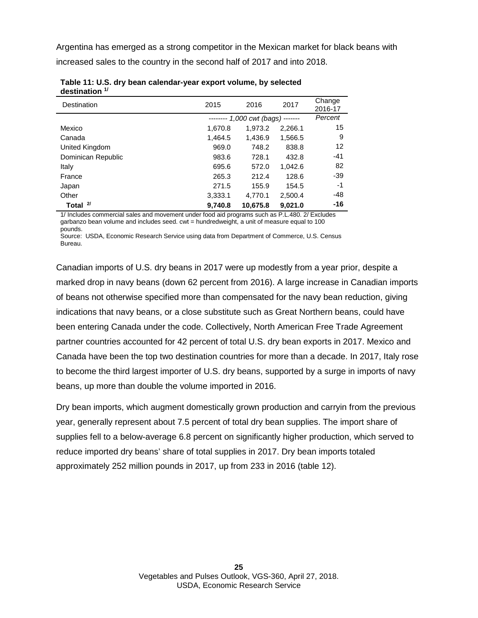Argentina has emerged as a strong competitor in the Mexican market for black beans with increased sales to the country in the second half of 2017 and into 2018.

| Destination        | 2015    | 2016                     | 2017            | Change<br>2016-17 |
|--------------------|---------|--------------------------|-----------------|-------------------|
|                    |         | $----- 1,000$ cwt (bags) | $- - - - - - -$ | Percent           |
| Mexico             | 1,670.8 | 1,973.2                  | 2,266.1         | 15                |
| Canada             | 1,464.5 | 1.436.9                  | 1,566.5         | 9                 |
| United Kingdom     | 969.0   | 748.2                    | 838.8           | 12                |
| Dominican Republic | 983.6   | 728.1                    | 432.8           | $-41$             |
| Italy              | 695.6   | 572.0                    | 1,042.6         | 82                |
| France             | 265.3   | 212.4                    | 128.6           | -39               |
| Japan              | 271.5   | 155.9                    | 154.5           | -1                |
| Other              | 3,333.1 | 4.770.1                  | 2,500.4         | $-48$             |
| 21<br>Total        | 9,740.8 | 10,675.8                 | 9,021.0         | -16               |

**Table 11: U.S. dry bean calendar-year export volume, by selected destination 1/**

1/ Includes commercial sales and movement under food aid programs such as P.L.480. 2/ Excludes garbanzo bean volume and includes seed. cwt = hundredweight, a unit of measure equal to 100 pounds.

Source: USDA, Economic Research Service using data from Department of Commerce, U.S. Census Bureau.

Canadian imports of U.S. dry beans in 2017 were up modestly from a year prior, despite a marked drop in navy beans (down 62 percent from 2016). A large increase in Canadian imports of beans not otherwise specified more than compensated for the navy bean reduction, giving indications that navy beans, or a close substitute such as Great Northern beans, could have been entering Canada under the code. Collectively, North American Free Trade Agreement partner countries accounted for 42 percent of total U.S. dry bean exports in 2017. Mexico and Canada have been the top two destination countries for more than a decade. In 2017, Italy rose to become the third largest importer of U.S. dry beans, supported by a surge in imports of navy beans, up more than double the volume imported in 2016.

Dry bean imports, which augment domestically grown production and carryin from the previous year, generally represent about 7.5 percent of total dry bean supplies. The import share of supplies fell to a below-average 6.8 percent on significantly higher production, which served to reduce imported dry beans' share of total supplies in 2017. Dry bean imports totaled approximately 252 million pounds in 2017, up from 233 in 2016 (table 12).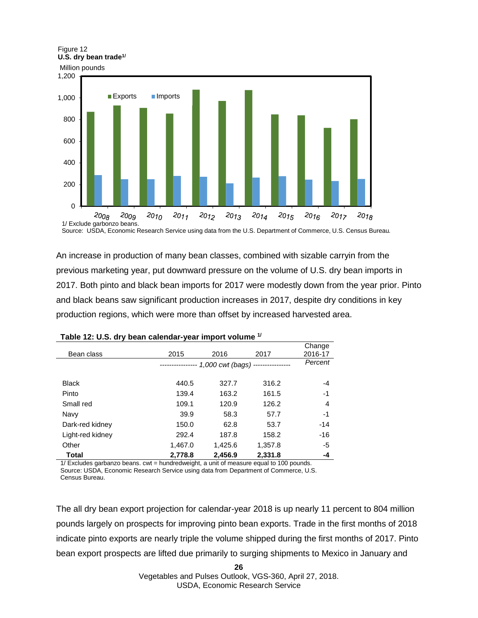

An increase in production of many bean classes, combined with sizable carryin from the previous marketing year, put downward pressure on the volume of U.S. dry bean imports in 2017. Both pinto and black bean imports for 2017 were modestly down from the year prior. Pinto and black beans saw significant production increases in 2017, despite dry conditions in key production regions, which were more than offset by increased harvested area.

| $1.00001$ and $1.00001$ and $1.00001$ and $1.00001$ and $1.00001$ and $1.00001$ |         |                        |         |         |
|---------------------------------------------------------------------------------|---------|------------------------|---------|---------|
|                                                                                 |         |                        |         | Change  |
| Bean class                                                                      | 2015    | 2016                   | 2017    | 2016-17 |
|                                                                                 |         | $1,000$ cwt (bags) $-$ |         | Percent |
|                                                                                 |         |                        |         |         |
| <b>Black</b>                                                                    | 440.5   | 327.7                  | 316.2   | -4      |
| Pinto                                                                           | 139.4   | 163.2                  | 161.5   | -1      |
| Small red                                                                       | 109.1   | 120.9                  | 126.2   | 4       |
| Navy                                                                            | 39.9    | 58.3                   | 57.7    | -1      |
| Dark-red kidney                                                                 | 150.0   | 62.8                   | 53.7    | $-14$   |
| Light-red kidney                                                                | 292.4   | 187.8                  | 158.2   | $-16$   |
| Other                                                                           | 1,467.0 | 1,425.6                | 1.357.8 | -5      |
| <b>Total</b>                                                                    | 2,778.8 | 2.456.9                | 2.331.8 | -4      |

|  |  | Table 12: U.S. dry bean calendar-year import volume <sup>1/</sup> |
|--|--|-------------------------------------------------------------------|
|--|--|-------------------------------------------------------------------|

1/ Excludes garbanzo beans. cwt = hundredweight, a unit of measure equal to 100 pounds. Source: USDA, Economic Research Service using data from Department of Commerce, U.S. Census Bureau.

The all dry bean export projection for calendar-year 2018 is up nearly 11 percent to 804 million pounds largely on prospects for improving pinto bean exports. Trade in the first months of 2018 indicate pinto exports are nearly triple the volume shipped during the first months of 2017. Pinto bean export prospects are lifted due primarily to surging shipments to Mexico in January and

**26**

Vegetables and Pulses Outlook, VGS-360, April 27, 2018. USDA, Economic Research Service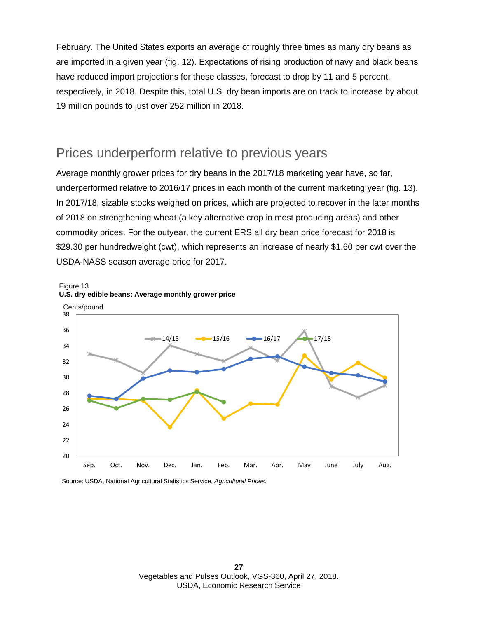February. The United States exports an average of roughly three times as many dry beans as are imported in a given year (fig. 12). Expectations of rising production of navy and black beans have reduced import projections for these classes, forecast to drop by 11 and 5 percent, respectively, in 2018. Despite this, total U.S. dry bean imports are on track to increase by about 19 million pounds to just over 252 million in 2018.

### Prices underperform relative to previous years

Average monthly grower prices for dry beans in the 2017/18 marketing year have, so far, underperformed relative to 2016/17 prices in each month of the current marketing year (fig. 13). In 2017/18, sizable stocks weighed on prices, which are projected to recover in the later months of 2018 on strengthening wheat (a key alternative crop in most producing areas) and other commodity prices. For the outyear, the current ERS all dry bean price forecast for 2018 is \$29.30 per hundredweight (cwt), which represents an increase of nearly \$1.60 per cwt over the USDA-NASS season average price for 2017.





Source: USDA, National Agricultural Statistics Service, *Agricultural Prices.*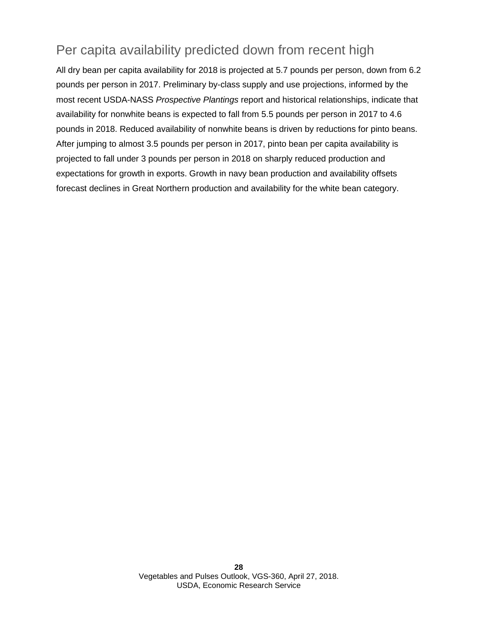## Per capita availability predicted down from recent high

All dry bean per capita availability for 2018 is projected at 5.7 pounds per person, down from 6.2 pounds per person in 2017. Preliminary by-class supply and use projections, informed by the most recent USDA-NASS *Prospective Plantings* report and historical relationships, indicate that availability for nonwhite beans is expected to fall from 5.5 pounds per person in 2017 to 4.6 pounds in 2018. Reduced availability of nonwhite beans is driven by reductions for pinto beans. After jumping to almost 3.5 pounds per person in 2017, pinto bean per capita availability is projected to fall under 3 pounds per person in 2018 on sharply reduced production and expectations for growth in exports. Growth in navy bean production and availability offsets forecast declines in Great Northern production and availability for the white bean category.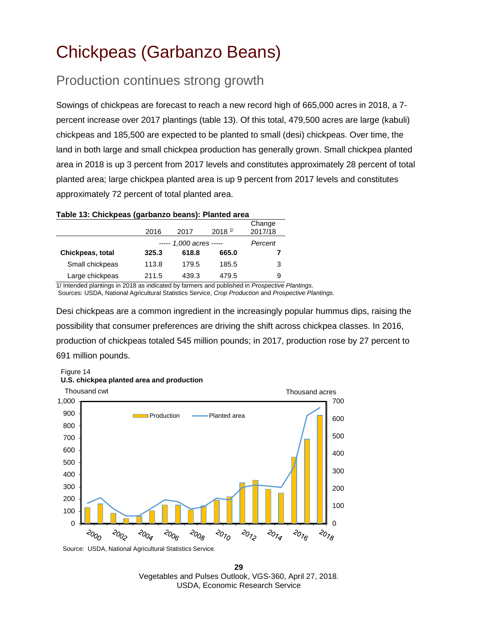# <span id="page-28-0"></span>Chickpeas (Garbanzo Beans)

### Production continues strong growth

Sowings of chickpeas are forecast to reach a new record high of 665,000 acres in 2018, a 7 percent increase over 2017 plantings (table 13). Of this total, 479,500 acres are large (kabuli) chickpeas and 185,500 are expected to be planted to small (desi) chickpeas. Over time, the land in both large and small chickpea production has generally grown. Small chickpea planted area in 2018 is up 3 percent from 2017 levels and constitutes approximately 28 percent of total planted area; large chickpea planted area is up 9 percent from 2017 levels and constitutes approximately 72 percent of total planted area.

### **Table 13: Chickpeas (garbanzo beans): Planted area**

|                  | 2016  | 2017                    | 2018 <sup>1</sup> | Change<br>2017/18 |
|------------------|-------|-------------------------|-------------------|-------------------|
|                  |       | $--- 1,000$ acres $---$ |                   | Percent           |
| Chickpeas, total | 325.3 | 618.8                   | 665.0             |                   |
| Small chickpeas  | 113.8 | 179.5                   | 185.5             | 3                 |
| Large chickpeas  | 211.5 | 439.3                   | 479.5             | 9                 |

1/ Intended plantings in 2018 as indicated by farmers and published in *Prospective Plantings*. Sources: USDA, National Agricultural Statistics Service, *Crop Production* and *Prospective Plantings.*

Desi chickpeas are a common ingredient in the increasingly popular hummus dips, raising the possibility that consumer preferences are driving the shift across chickpea classes. In 2016, production of chickpeas totaled 545 million pounds; in 2017, production rose by 27 percent to 691 million pounds.



#### Figure 14 **U.S. chickpea planted area and production**

Source: USDA, National Agricultural Statistics Service*.* 

**29** Vegetables and Pulses Outlook, VGS-360, April 27, 2018. USDA, Economic Research Service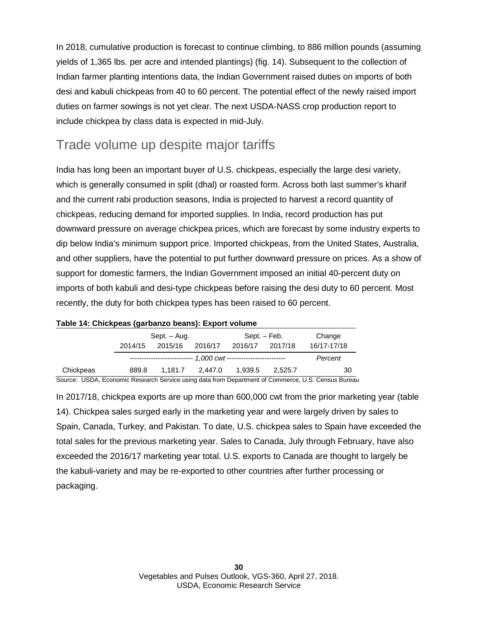In 2018, cumulative production is forecast to continue climbing, to 886 million pounds (assuming yields of 1,365 lbs. per acre and intended plantings) (fig. 14). Subsequent to the collection of Indian farmer planting intentions data, the Indian Government raised duties on imports of both desi and kabuli chickpeas from 40 to 60 percent. The potential effect of the newly raised import duties on farmer sowings is not yet clear. The next USDA-NASS crop production report to include chickpea by class data is expected in mid-July.

## Trade volume up despite major tariffs

India has long been an important buyer of U.S. chickpeas, especially the large desi variety, which is generally consumed in split (dhal) or roasted form. Across both last summer's kharif and the current rabi production seasons, India is projected to harvest a record quantity of chickpeas, reducing demand for imported supplies. In India, record production has put downward pressure on average chickpea prices, which are forecast by some industry experts to dip below India's minimum support price. Imported chickpeas, from the United States, Australia, and other suppliers, have the potential to put further downward pressure on prices. As a show of support for domestic farmers, the Indian Government imposed an initial 40-percent duty on imports of both kabuli and desi-type chickpeas before raising the desi duty to 60 percent. Most recently, the duty for both chickpea types has been raised to 60 percent.

| 1400      |         |                                                                |         |         |              |             |
|-----------|---------|----------------------------------------------------------------|---------|---------|--------------|-------------|
|           |         | Sept. - Aug.                                                   |         |         | Sept. – Feb. | Change      |
|           | 2014/15 | 2015/16                                                        | 2016/17 | 2016/17 | 2017/18      | 16/17-17/18 |
|           |         | --------------------------- 1,000 cwt ------------------------ |         |         |              | Percent     |
| Chickpeas | 889.8   | 1.181.7                                                        | 2.447.0 | 1.939.5 | 2.525.7      | 30          |

### **Table 14: Chickpeas (garbanzo beans): Export volume**

Source: USDA, Economic Research Service using data from Department of Commerce, U.S. Census Bureau

In 2017/18, chickpea exports are up more than 600,000 cwt from the prior marketing year (table 14). Chickpea sales surged early in the marketing year and were largely driven by sales to Spain, Canada, Turkey, and Pakistan. To date, U.S. chickpea sales to Spain have exceeded the total sales for the previous marketing year. Sales to Canada, July through February, have also exceeded the 2016/17 marketing year total. U.S. exports to Canada are thought to largely be the kabuli-variety and may be re-exported to other countries after further processing or packaging.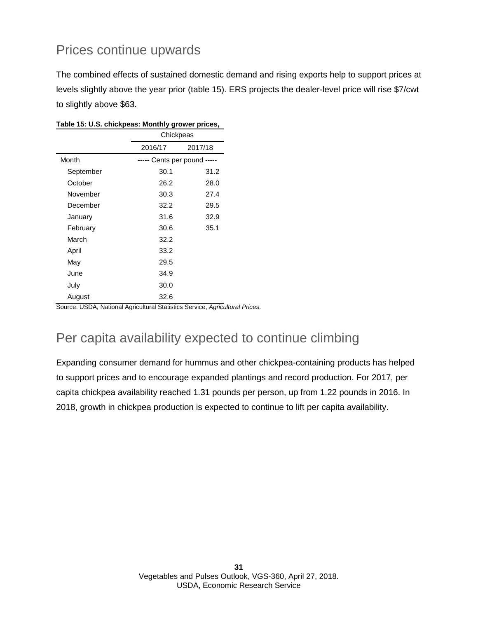## Prices continue upwards

The combined effects of sustained domestic demand and rising exports help to support prices at levels slightly above the year prior (table 15). ERS projects the dealer-level price will rise \$7/cwt to slightly above \$63.

|           | Chickpeas                   |         |
|-----------|-----------------------------|---------|
|           | 2016/17                     | 2017/18 |
| Month     | ----- Cents per pound ----- |         |
| September | 30.1                        | 31.2    |
| October   | 26.2                        | 28.0    |
| November  | 30.3                        | 27.4    |
| December  | 32.2                        | 29.5    |
| January   | 31.6                        | 32.9    |
| February  | 30.6                        | 35.1    |
| March     | 32.2                        |         |
| April     | 33.2                        |         |
| May       | 29.5                        |         |
| June      | 34.9                        |         |
| July      | 30.0                        |         |
| August    | 32.6                        |         |

**Table 15: U.S. chickpeas: Monthly grower prices,**

Source: USDA, National Agricultural Statistics Service, *Agricultural Prices*.

## Per capita availability expected to continue climbing

Expanding consumer demand for hummus and other chickpea-containing products has helped to support prices and to encourage expanded plantings and record production. For 2017, per capita chickpea availability reached 1.31 pounds per person, up from 1.22 pounds in 2016. In 2018, growth in chickpea production is expected to continue to lift per capita availability.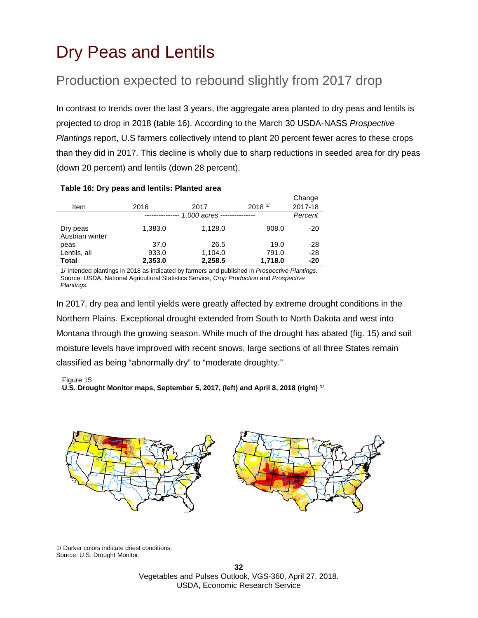# <span id="page-31-0"></span>Dry Peas and Lentils

## Production expected to rebound slightly from 2017 drop

In contrast to trends over the last 3 years, the aggregate area planted to dry peas and lentils is projected to drop in 2018 (table 16). According to the March 30 USDA-NASS *Prospective Plantings* report, U.S farmers collectively intend to plant 20 percent fewer acres to these crops than they did in 2017. This decline is wholly due to sharp reductions in seeded area for dry peas (down 20 percent) and lentils (down 28 percent).

| Item                        | 2016    | 2017                        | 2018 <sup>1</sup> | Change<br>2017-18 |
|-----------------------------|---------|-----------------------------|-------------------|-------------------|
|                             |         | 1,000 acres --------------- |                   | Percent           |
| Dry peas<br>Austrian winter | 1,383.0 | 1,128.0                     | 908.0             | $-20$             |
| peas                        | 37.0    | 26.5                        | 19.0              | $-28$             |
| Lentils, all                | 933.0   | 1,104.0                     | 791.0             | $-28$             |
| Total                       | 2,353.0 | 2,258.5                     | 1,718.0           | -20               |

#### **Table 16: Dry peas and lentils: Planted area**

1/ Intended plantings in 2018 as indicated by farmers and published in *Prospective Plantings.* Source: USDA, National Agricultural Statistics Service, *Crop Production* and *Prospective Plantings.*

In 2017, dry pea and lentil yields were greatly affected by extreme drought conditions in the Northern Plains. Exceptional drought extended from South to North Dakota and west into Montana through the growing season. While much of the drought has abated (fig. 15) and soil moisture levels have improved with recent snows, large sections of all three States remain classified as being "abnormally dry" to "moderate droughty."

Figure 15

**U.S. Drought Monitor maps, September 5, 2017, (left) and April 8, 2018 (right) 1/**



1/ Darker colors indicate driest conditions. Source: U.S. Drought Monitor.

> **32** Vegetables and Pulses Outlook, VGS-360, April 27, 2018. USDA, Economic Research Service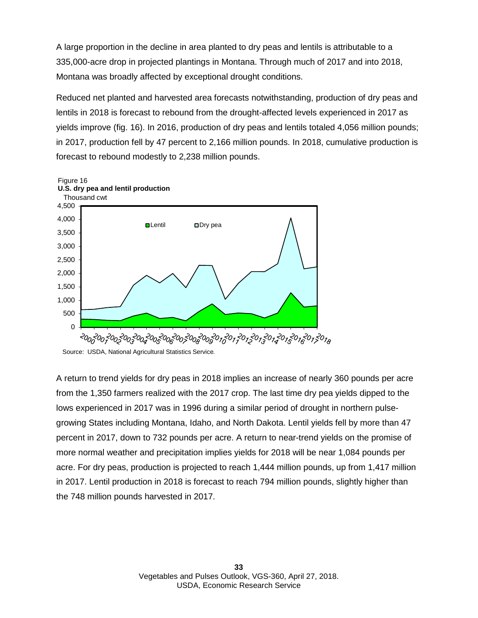A large proportion in the decline in area planted to dry peas and lentils is attributable to a 335,000-acre drop in projected plantings in Montana. Through much of 2017 and into 2018, Montana was broadly affected by exceptional drought conditions.

Reduced net planted and harvested area forecasts notwithstanding, production of dry peas and lentils in 2018 is forecast to rebound from the drought-affected levels experienced in 2017 as yields improve (fig. 16). In 2016, production of dry peas and lentils totaled 4,056 million pounds; in 2017, production fell by 47 percent to 2,166 million pounds. In 2018, cumulative production is forecast to rebound modestly to 2,238 million pounds.



Source: USDA, National Agricultural Statistics Service*.* 

A return to trend yields for dry peas in 2018 implies an increase of nearly 360 pounds per acre from the 1,350 farmers realized with the 2017 crop. The last time dry pea yields dipped to the lows experienced in 2017 was in 1996 during a similar period of drought in northern pulsegrowing States including Montana, Idaho, and North Dakota. Lentil yields fell by more than 47 percent in 2017, down to 732 pounds per acre. A return to near-trend yields on the promise of more normal weather and precipitation implies yields for 2018 will be near 1,084 pounds per acre. For dry peas, production is projected to reach 1,444 million pounds, up from 1,417 million in 2017. Lentil production in 2018 is forecast to reach 794 million pounds, slightly higher than the 748 million pounds harvested in 2017.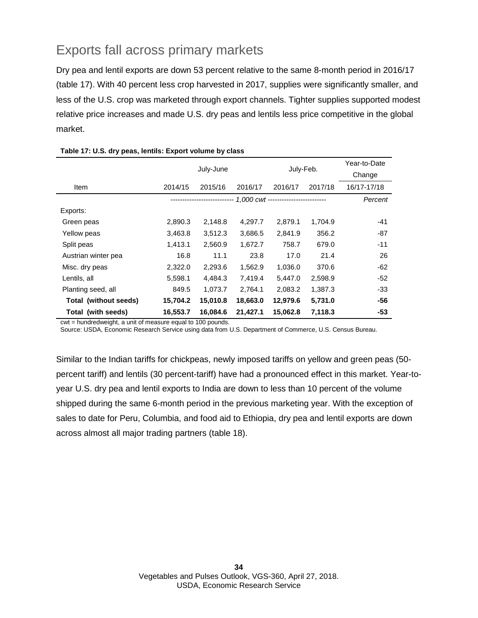## Exports fall across primary markets

Dry pea and lentil exports are down 53 percent relative to the same 8-month period in 2016/17 (table 17). With 40 percent less crop harvested in 2017, supplies were significantly smaller, and less of the U.S. crop was marketed through export channels. Tighter supplies supported modest relative price increases and made U.S. dry peas and lentils less price competitive in the global market.

|                       |          |           |          |           | Year-to-Date |             |
|-----------------------|----------|-----------|----------|-----------|--------------|-------------|
|                       |          | July-June |          | July-Feb. |              | Change      |
| Item                  | 2014/15  | 2015/16   | 2016/17  | 2016/17   | 2017/18      | 16/17-17/18 |
|                       |          |           |          |           |              | Percent     |
| Exports:              |          |           |          |           |              |             |
| Green peas            | 2,890.3  | 2,148.8   | 4,297.7  | 2,879.1   | 1,704.9      | -41         |
| Yellow peas           | 3,463.8  | 3,512.3   | 3,686.5  | 2,841.9   | 356.2        | $-87$       |
| Split peas            | 1,413.1  | 2,560.9   | 1,672.7  | 758.7     | 679.0        | $-11$       |
| Austrian winter pea   | 16.8     | 11.1      | 23.8     | 17.0      | 21.4         | 26          |
| Misc. dry peas        | 2,322.0  | 2,293.6   | 1,562.9  | 1,036.0   | 370.6        | -62         |
| Lentils, all          | 5,598.1  | 4,484.3   | 7,419.4  | 5,447.0   | 2,598.9      | $-52$       |
| Planting seed, all    | 849.5    | 1,073.7   | 2,764.1  | 2,083.2   | 1,387.3      | -33         |
| Total (without seeds) | 15,704.2 | 15,010.8  | 18,663.0 | 12,979.6  | 5,731.0      | -56         |
| Total (with seeds)    | 16,553.7 | 16,084.6  | 21,427.1 | 15,062.8  | 7,118.3      | $-53$       |

### **Table 17: U.S. dry peas, lentils: Export volume by class**

cwt = hundredweight, a unit of measure equal to 100 pounds.

Source: USDA, Economic Research Service using data from U.S. Department of Commerce, U.S. Census Bureau.

Similar to the Indian tariffs for chickpeas, newly imposed tariffs on yellow and green peas (50 percent tariff) and lentils (30 percent-tariff) have had a pronounced effect in this market. Year-toyear U.S. dry pea and lentil exports to India are down to less than 10 percent of the volume shipped during the same 6-month period in the previous marketing year. With the exception of sales to date for Peru, Columbia, and food aid to Ethiopia, dry pea and lentil exports are down across almost all major trading partners (table 18).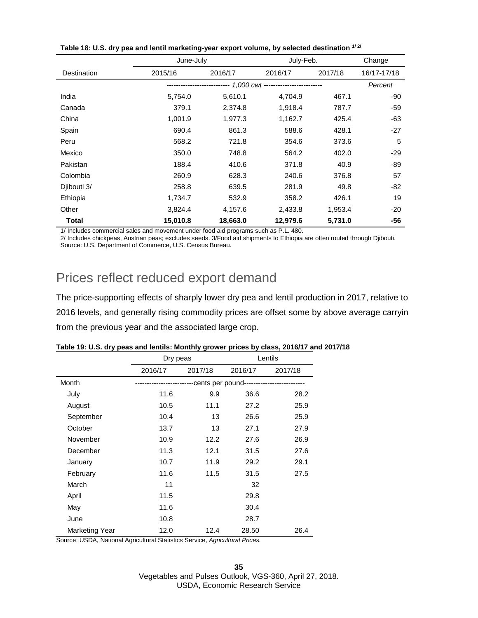|              | June-July |          |                                         | July-Feb. |             |
|--------------|-----------|----------|-----------------------------------------|-----------|-------------|
| Destination  | 2015/16   | 2016/17  | 2016/17                                 | 2017/18   | 16/17-17/18 |
|              |           |          | --- 1,000 cwt ------------------------- |           | Percent     |
| India        | 5,754.0   | 5,610.1  | 4,704.9                                 | 467.1     | -90         |
| Canada       | 379.1     | 2,374.8  | 1,918.4                                 | 787.7     | $-59$       |
| China        | 1,001.9   | 1,977.3  | 1,162.7                                 | 425.4     | -63         |
| Spain        | 690.4     | 861.3    | 588.6                                   | 428.1     | $-27$       |
| Peru         | 568.2     | 721.8    | 354.6                                   | 373.6     | 5           |
| Mexico       | 350.0     | 748.8    | 564.2                                   | 402.0     | $-29$       |
| Pakistan     | 188.4     | 410.6    | 371.8                                   | 40.9      | -89         |
| Colombia     | 260.9     | 628.3    | 240.6                                   | 376.8     | 57          |
| Djibouti 3/  | 258.8     | 639.5    | 281.9                                   | 49.8      | -82         |
| Ethiopia     | 1,734.7   | 532.9    | 358.2                                   | 426.1     | 19          |
| Other        | 3,824.4   | 4,157.6  | 2,433.8                                 | 1,953.4   | $-20$       |
| <b>Total</b> | 15,010.8  | 18,663.0 | 12,979.6                                | 5,731.0   | -56         |

| Table 18: U.S. dry pea and lentil marketing-year export volume, by selected destination 1/2 |  |
|---------------------------------------------------------------------------------------------|--|
|---------------------------------------------------------------------------------------------|--|

1/ Includes commercial sales and movement under food aid programs such as P.L. 480.

2/ Includes chickpeas, Austrian peas; excludes seeds. 3/Food aid shipments to Ethiopia are often routed through Djibouti. Source: U.S. Department of Commerce, U.S. Census Bureau.

### Prices reflect reduced export demand

The price-supporting effects of sharply lower dry pea and lentil production in 2017, relative to 2016 levels, and generally rising commodity prices are offset some by above average carryin from the previous year and the associated large crop.

|                       | Dry peas |         | Lentils                      |         |  |
|-----------------------|----------|---------|------------------------------|---------|--|
|                       | 2016/17  | 2017/18 | 2016/17                      | 2017/18 |  |
| Month                 |          |         | -cents per pound------------ |         |  |
| July                  | 11.6     | 9.9     | 36.6                         | 28.2    |  |
| August                | 10.5     | 11.1    | 27.2                         | 25.9    |  |
| September             | 10.4     | 13      | 26.6                         | 25.9    |  |
| October               | 13.7     | 13      | 27.1                         | 27.9    |  |
| November              | 10.9     | 12.2    | 27.6                         | 26.9    |  |
| December              | 11.3     | 12.1    | 31.5                         | 27.6    |  |
| January               | 10.7     | 11.9    | 29.2                         | 29.1    |  |
| February              | 11.6     | 11.5    | 31.5                         | 27.5    |  |
| March                 | 11       |         | 32                           |         |  |
| April                 | 11.5     |         | 29.8                         |         |  |
| May                   | 11.6     |         | 30.4                         |         |  |
| June                  | 10.8     |         | 28.7                         |         |  |
| <b>Marketing Year</b> | 12.0     | 12.4    | 28.50                        | 26.4    |  |

|  |  |  |  | Table 19: U.S. dry peas and lentils: Monthly grower prices by class, 2016/17 and 2017/18 |
|--|--|--|--|------------------------------------------------------------------------------------------|
|--|--|--|--|------------------------------------------------------------------------------------------|

Source: USDA, National Agricultural Statistics Service, *Agricultural Prices.*

**35** Vegetables and Pulses Outlook, VGS-360, April 27, 2018. USDA, Economic Research Service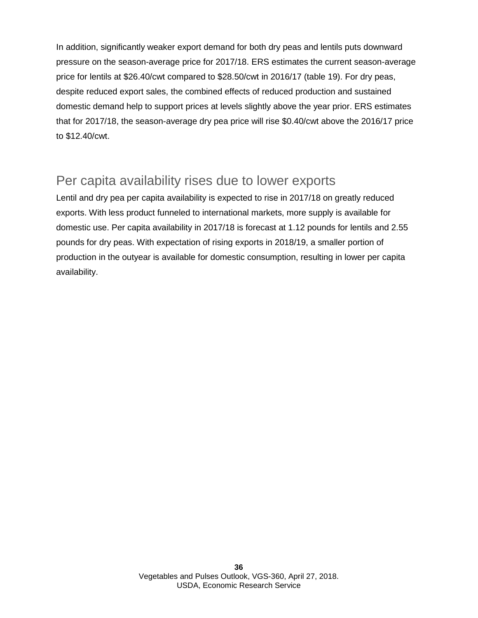In addition, significantly weaker export demand for both dry peas and lentils puts downward pressure on the season-average price for 2017/18. ERS estimates the current season-average price for lentils at \$26.40/cwt compared to \$28.50/cwt in 2016/17 (table 19). For dry peas, despite reduced export sales, the combined effects of reduced production and sustained domestic demand help to support prices at levels slightly above the year prior. ERS estimates that for 2017/18, the season-average dry pea price will rise \$0.40/cwt above the 2016/17 price to \$12.40/cwt.

### Per capita availability rises due to lower exports

Lentil and dry pea per capita availability is expected to rise in 2017/18 on greatly reduced exports. With less product funneled to international markets, more supply is available for domestic use. Per capita availability in 2017/18 is forecast at 1.12 pounds for lentils and 2.55 pounds for dry peas. With expectation of rising exports in 2018/19, a smaller portion of production in the outyear is available for domestic consumption, resulting in lower per capita availability.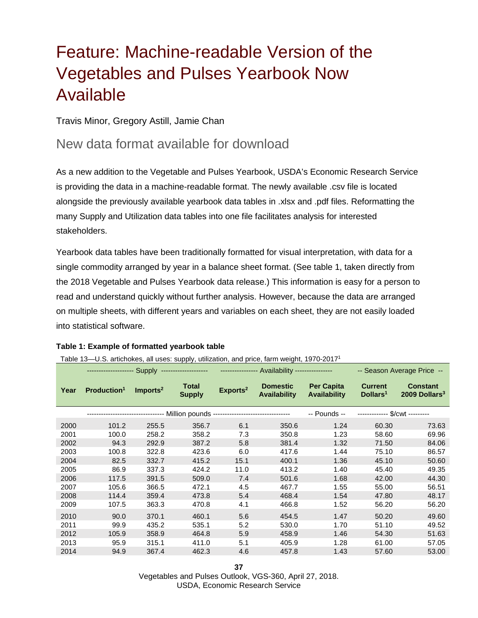# <span id="page-36-0"></span>Feature: Machine-readable Version of the Vegetables and Pulses Yearbook Now Available

### Travis Minor, Gregory Astill, Jamie Chan

### New data format available for download

As a new addition to the Vegetable and Pulses Yearbook, USDA's Economic Research Service is providing the data in a machine-readable format. The newly available .csv file is located alongside the previously available yearbook data tables in .xlsx and .pdf files. Reformatting the many Supply and Utilization data tables into one file facilitates analysis for interested stakeholders.

Yearbook data tables have been traditionally formatted for visual interpretation, with data for a single commodity arranged by year in a balance sheet format. (See table 1, taken directly from the 2018 Vegetable and Pulses Yearbook data release.) This information is easy for a person to read and understand quickly without further analysis. However, because the data are arranged on multiple sheets, with different years and variables on each sheet, they are not easily loaded into statistical software.

### **Table 1: Example of formatted yearbook table**

### Table 13—U.S. artichokes, all uses: supply, utilization, and price, farm weight, 1970-20171

|      | -------------------- Supply ------------------- |                      |                               | --------------- Availability ---------------                                     |                                        |                                          | -- Season Average Price --             |                                              |
|------|-------------------------------------------------|----------------------|-------------------------------|----------------------------------------------------------------------------------|----------------------------------------|------------------------------------------|----------------------------------------|----------------------------------------------|
| Year | Production <sup>1</sup>                         | Imports <sup>2</sup> | <b>Total</b><br><b>Supply</b> | Exports <sup>2</sup>                                                             | <b>Domestic</b><br><b>Availability</b> | <b>Per Capita</b><br><b>Availability</b> | <b>Current</b><br>Dollars <sup>1</sup> | <b>Constant</b><br>2009 Dollars <sup>3</sup> |
|      |                                                 |                      |                               | -------------------------------- Million pounds -------------------------------- |                                        | -- Pounds --                             | $\sqrt{\text{Cwt}}$ -----              |                                              |
| 2000 | 101.2                                           | 255.5                | 356.7                         | 6.1                                                                              | 350.6                                  | 1.24                                     | 60.30                                  | 73.63                                        |
| 2001 | 100.0                                           | 258.2                | 358.2                         | 7.3                                                                              | 350.8                                  | 1.23                                     | 58.60                                  | 69.96                                        |
| 2002 | 94.3                                            | 292.9                | 387.2                         | 5.8                                                                              | 381.4                                  | 1.32                                     | 71.50                                  | 84.06                                        |
| 2003 | 100.8                                           | 322.8                | 423.6                         | 6.0                                                                              | 417.6                                  | 1.44                                     | 75.10                                  | 86.57                                        |
| 2004 | 82.5                                            | 332.7                | 415.2                         | 15.1                                                                             | 400.1                                  | 1.36                                     | 45.10                                  | 50.60                                        |
| 2005 | 86.9                                            | 337.3                | 424.2                         | 11.0                                                                             | 413.2                                  | 1.40                                     | 45.40                                  | 49.35                                        |
| 2006 | 117.5                                           | 391.5                | 509.0                         | 7.4                                                                              | 501.6                                  | 1.68                                     | 42.00                                  | 44.30                                        |
| 2007 | 105.6                                           | 366.5                | 472.1                         | 4.5                                                                              | 467.7                                  | 1.55                                     | 55.00                                  | 56.51                                        |
| 2008 | 114.4                                           | 359.4                | 473.8                         | 5.4                                                                              | 468.4                                  | 1.54                                     | 47.80                                  | 48.17                                        |
| 2009 | 107.5                                           | 363.3                | 470.8                         | 4.1                                                                              | 466.8                                  | 1.52                                     | 56.20                                  | 56.20                                        |
| 2010 | 90.0                                            | 370.1                | 460.1                         | 5.6                                                                              | 454.5                                  | 1.47                                     | 50.20                                  | 49.60                                        |
| 2011 | 99.9                                            | 435.2                | 535.1                         | 5.2                                                                              | 530.0                                  | 1.70                                     | 51.10                                  | 49.52                                        |
| 2012 | 105.9                                           | 358.9                | 464.8                         | 5.9                                                                              | 458.9                                  | 1.46                                     | 54.30                                  | 51.63                                        |
| 2013 | 95.9                                            | 315.1                | 411.0                         | 5.1                                                                              | 405.9                                  | 1.28                                     | 61.00                                  | 57.05                                        |
| 2014 | 94.9                                            | 367.4                | 462.3                         | 4.6                                                                              | 457.8                                  | 1.43                                     | 57.60                                  | 53.00                                        |

Vegetables and Pulses Outlook, VGS-360, April 27, 2018. USDA, Economic Research Service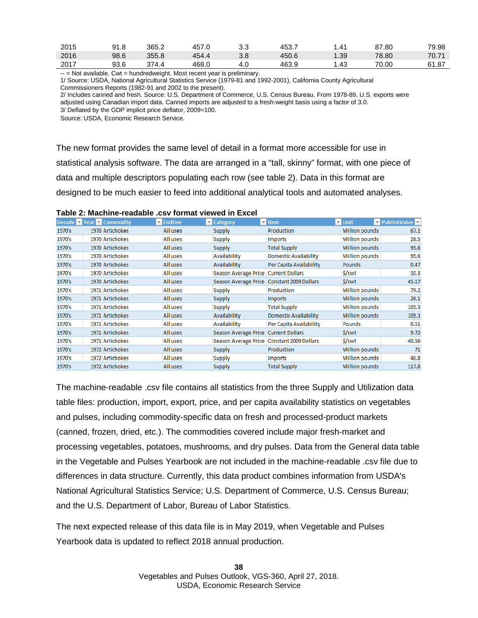| 2015 | 91.8 | ے.365 | 457 f | ن. ب | 453., | 41.،  | 87.80 | 79.98 |
|------|------|-------|-------|------|-------|-------|-------|-------|
| 2016 | 98.6 | 355.8 | 454.4 | 3.8  | 450.6 | 39. ، | 78.80 | 70.71 |
| 2017 | 93.6 | 271.  | 468.0 | 4.0  | 463.9 | l.43  | 70.00 | 61.87 |

-- = Not available. Cwt = hundredweight. Most recent year is preliminary.

1/ Source: USDA, National Agricultural Statistics Service (1979-81 and 1992-2001), California County Agricultural Commissioners Reports (1982-91 and 2002 to the present).

2/ Includes canned and fresh. Source: U.S. Department of Commerce, U.S. Census Bureau. From 1978-89, U.S. exports were adjusted using Canadian import data. Canned imports are adjusted to a fresh-weight basis using a factor of 3.0. 3/ Deflated by the GDP implicit price deflator, 2009=100.

Source: USDA, Economic Research Service.

The new format provides the same level of detail in a format more accessible for use in statistical analysis software. The data are arranged in a "tall, skinny" format, with one piece of data and multiple descriptors populating each row (see table 2). Data in this format are designed to be much easier to feed into additional analytical tools and automated analyses.

| Table 2: Machine-readable .csv format viewed in Excel |  |
|-------------------------------------------------------|--|
|-------------------------------------------------------|--|

|        | Decade <b>Y</b> Year <b>Y</b> Commodity | $\nabla$ EndUse | <b>Z</b> Category    | $\overline{z}$ Item          | $\overline{v}$ Unit   | <b>v</b> PublishValue <b>v</b> |
|--------|-----------------------------------------|-----------------|----------------------|------------------------------|-----------------------|--------------------------------|
| 1970's | 1970 Artichokes                         | All uses        | Supply               | Production                   | Million pounds        | 67.1                           |
| 1970's | 1970 Artichokes                         | All uses        | Supply               | <b>Imports</b>               | Million pounds        | 28.5                           |
| 1970's | 1970 Artichokes                         | All uses        | Supply               | <b>Total Supply</b>          | Million pounds        | 95.6                           |
| 1970's | 1970 Artichokes                         | All uses        | Availability         | <b>Domestic Availability</b> | Million pounds        | 95.6                           |
| 1970's | 1970 Artichokes                         | All uses        | Availability         | Per Capita Availability      | <b>Pounds</b>         | 0.47                           |
| 1970's | 1970 Artichokes                         | All uses        | Season Average Price | <b>Current Dollars</b>       | \$/cwt                | 10.3                           |
| 1970's | 1970 Artichokes                         | All uses        | Season Average Price | <b>Constant 2009 Dollars</b> | \$/cwt                | 45.17                          |
| 1970's | 1971 Artichokes                         | All uses        | Supply               | Production                   | Million pounds        | 79.2                           |
| 1970's | 1971 Artichokes                         | All uses        | Supply               | Imports                      | Million pounds        | 26.1                           |
| 1970's | 1971 Artichokes                         | All uses        | Supply               | <b>Total Supply</b>          | Million pounds        | 105.3                          |
| 1970's | 1971 Artichokes                         | All uses        | Availability         | <b>Domestic Availability</b> | Million pounds        | 105.3                          |
| 1970's | 1971 Artichokes                         | All uses        | Availability         | Per Capita Availability      | <b>Pounds</b>         | 0.51                           |
| 1970's | 1971 Artichokes                         | All uses        | Season Average Price | <b>Current Dollars</b>       | \$/cwt                | 9.72                           |
| 1970's | 1971 Artichokes                         | All uses        | Season Average Price | Constant 2009 Dollars        | \$/cwt                | 40.56                          |
| 1970's | 1972 Artichokes                         | All uses        | Supply               | Production                   | Million pounds        | 71                             |
| 1970's | 1972 Artichokes                         | All uses        | Supply               | Imports                      | Million pounds        | 46.8                           |
| 1970's | 1972 Artichokes                         | All uses        | Supply               | <b>Total Supply</b>          | <b>Million pounds</b> | 117.8                          |

The machine-readable .csv file contains all statistics from the three Supply and Utilization data table files: production, import, export, price, and per capita availability statistics on vegetables and pulses, including commodity-specific data on fresh and processed-product markets (canned, frozen, dried, etc.). The commodities covered include major fresh-market and processing vegetables, potatoes, mushrooms, and dry pulses. Data from the General data table in the Vegetable and Pulses Yearbook are not included in the machine-readable .csv file due to differences in data structure. Currently, this data product combines information from USDA's National Agricultural Statistics Service; U.S. Department of Commerce, U.S. Census Bureau; and the U.S. Department of Labor, Bureau of Labor Statistics.

The next expected release of this data file is in May 2019, when Vegetable and Pulses Yearbook data is updated to reflect 2018 annual production.